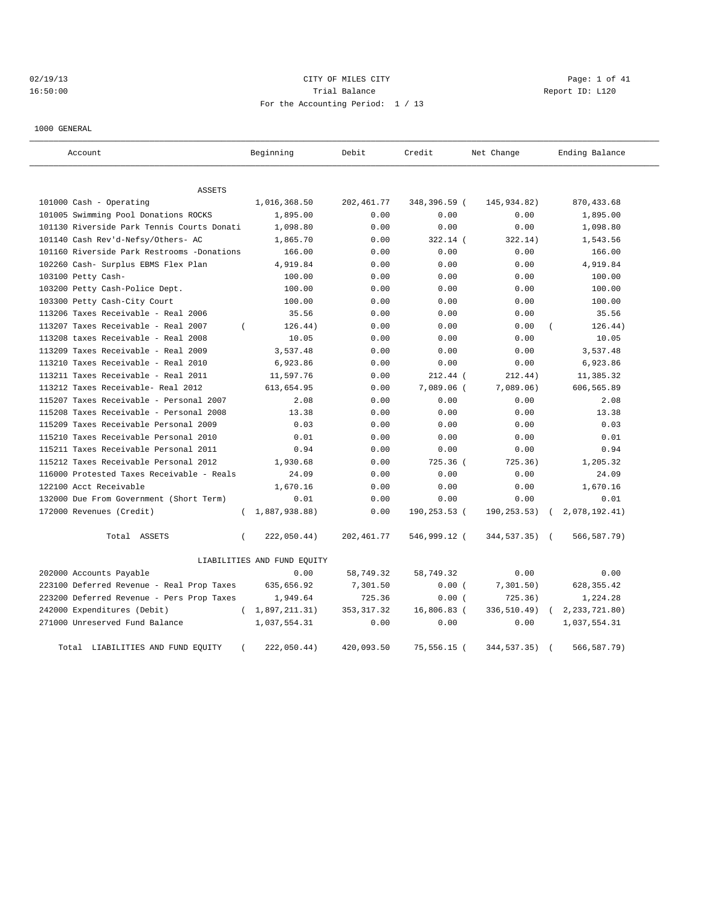# 02/19/13 Page: 1 of 41 16:50:00 Report ID: L120 For the Accounting Period: 1 / 13

1000 GENERAL

| Account                                    | Beginning                   | Debit       | Credit       | Net Change    | Ending Balance              |
|--------------------------------------------|-----------------------------|-------------|--------------|---------------|-----------------------------|
| <b>ASSETS</b>                              |                             |             |              |               |                             |
| 101000 Cash - Operating                    | 1,016,368.50                | 202, 461.77 | 348,396.59 ( | 145,934.82)   | 870, 433.68                 |
| 101005 Swimming Pool Donations ROCKS       | 1,895.00                    | 0.00        | 0.00         | 0.00          | 1,895.00                    |
| 101130 Riverside Park Tennis Courts Donati | 1,098.80                    | 0.00        | 0.00         | 0.00          | 1,098.80                    |
| 101140 Cash Rev'd-Nefsy/Others- AC         | 1,865.70                    | 0.00        | 322.14 (     | 322.14)       | 1,543.56                    |
| 101160 Riverside Park Restrooms -Donations | 166.00                      | 0.00        | 0.00         | 0.00          | 166.00                      |
| 102260 Cash- Surplus EBMS Flex Plan        | 4,919.84                    | 0.00        | 0.00         | 0.00          | 4,919.84                    |
| 103100 Petty Cash-                         | 100.00                      | 0.00        | 0.00         | 0.00          | 100.00                      |
| 103200 Petty Cash-Police Dept.             | 100.00                      | 0.00        | 0.00         | 0.00          | 100.00                      |
| 103300 Petty Cash-City Court               | 100.00                      | 0.00        | 0.00         | 0.00          | 100.00                      |
| 113206 Taxes Receivable - Real 2006        | 35.56                       | 0.00        | 0.00         | 0.00          | 35.56                       |
| 113207 Taxes Receivable - Real 2007        | 126.44)<br>$\left($         | 0.00        | 0.00         | 0.00          | 126.44)                     |
| 113208 taxes Receivable - Real 2008        | 10.05                       | 0.00        | 0.00         | 0.00          | 10.05                       |
| 113209 Taxes Receivable - Real 2009        | 3,537.48                    | 0.00        | 0.00         | 0.00          | 3,537.48                    |
| 113210 Taxes Receivable - Real 2010        | 6,923.86                    | 0.00        | 0.00         | 0.00          | 6,923.86                    |
| 113211 Taxes Receivable - Real 2011        | 11,597.76                   | 0.00        | $212.44$ (   | 212.44)       | 11,385.32                   |
| 113212 Taxes Receivable- Real 2012         | 613,654.95                  | 0.00        | $7,089.06$ ( | 7,089.06)     | 606,565.89                  |
| 115207 Taxes Receivable - Personal 2007    | 2.08                        | 0.00        | 0.00         | 0.00          | 2.08                        |
| 115208 Taxes Receivable - Personal 2008    | 13.38                       | 0.00        | 0.00         | 0.00          | 13.38                       |
| 115209 Taxes Receivable Personal 2009      | 0.03                        | 0.00        | 0.00         | 0.00          | 0.03                        |
| 115210 Taxes Receivable Personal 2010      | 0.01                        | 0.00        | 0.00         | 0.00          | 0.01                        |
| 115211 Taxes Receivable Personal 2011      | 0.94                        | 0.00        | 0.00         | 0.00          | 0.94                        |
| 115212 Taxes Receivable Personal 2012      | 1,930.68                    | 0.00        | 725.36 (     | 725.36)       | 1,205.32                    |
| 116000 Protested Taxes Receivable - Reals  | 24.09                       | 0.00        | 0.00         | 0.00          | 24.09                       |
| 122100 Acct Receivable                     | 1,670.16                    | 0.00        | 0.00         | 0.00          | 1,670.16                    |
| 132000 Due From Government (Short Term)    | 0.01                        | 0.00        | 0.00         | 0.00          | 0.01                        |
| 172000 Revenues (Credit)                   | 1,887,938.88)<br>$\left($   | 0.00        | 190,253.53 ( | 190,253.53)   | 2,078,192.41)<br>$\sqrt{2}$ |
| Total ASSETS                               | 222,050.44)<br>$\left($     | 202,461.77  | 546,999.12 ( | 344,537.35) ( | 566, 587. 79)               |
|                                            | LIABILITIES AND FUND EQUITY |             |              |               |                             |
| 202000 Accounts Payable                    | 0.00                        | 58,749.32   | 58,749.32    | 0.00          | 0.00                        |
| 223100 Deferred Revenue - Real Prop Taxes  | 635,656.92                  | 7,301.50    | 0.00(        | 7,301.50)     | 628, 355.42                 |
| 223200 Deferred Revenue - Pers Prop Taxes  | 1,949.64                    | 725.36      | 0.00(        | 725.36)       | 1,224.28                    |
| 242000 Expenditures (Debit)                | 1,897,211.31)<br>$\left($   | 353, 317.32 | 16,806.83 (  | 336,510.49)   | 2, 233, 721.80)             |
| 271000 Unreserved Fund Balance             | 1,037,554.31                | 0.00        | 0.00         | 0.00          | 1,037,554.31                |
| Total LIABILITIES AND FUND EQUITY          | 222,050.44)<br>$\left($     | 420,093.50  | 75,556.15 (  | 344,537.35)   | 566, 587. 79)               |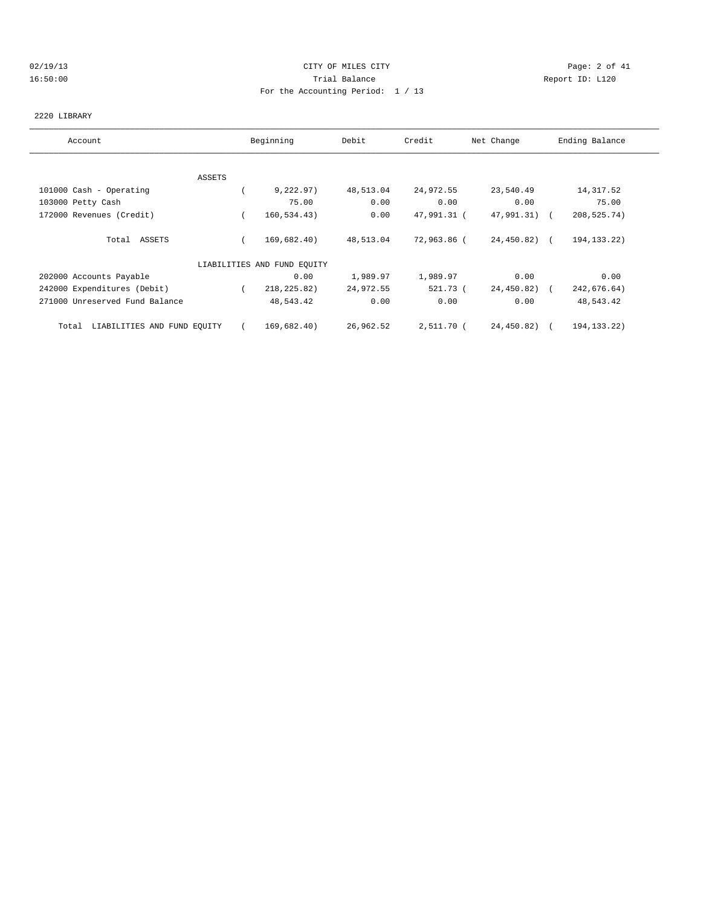#### 02/19/13 Page: 2 of 41 16:50:00 Trial Balance Report ID: L120 For the Accounting Period: 1 / 13

#### 2220 LIBRARY

| Account                              |          | Beginning                   | Debit     | Credit      | Net Change   | Ending Balance |
|--------------------------------------|----------|-----------------------------|-----------|-------------|--------------|----------------|
|                                      |          |                             |           |             |              |                |
|                                      | ASSETS   |                             |           |             |              |                |
| 101000 Cash - Operating              |          | 9,222.97)                   | 48,513.04 | 24,972.55   | 23,540.49    | 14, 317.52     |
| 103000 Petty Cash                    |          | 75.00                       | 0.00      | 0.00        | 0.00         | 75.00          |
| 172000 Revenues (Credit)             | $\left($ | 160, 534.43)                | 0.00      | 47,991.31 ( | 47,991.31) ( | 208,525.74)    |
| Total ASSETS                         |          | 169,682.40)                 | 48,513.04 | 72,963.86 ( | 24,450.82) ( | 194, 133. 22)  |
|                                      |          | LIABILITIES AND FUND EQUITY |           |             |              |                |
| 202000 Accounts Payable              |          | 0.00                        | 1,989.97  | 1,989.97    | 0.00         | 0.00           |
| 242000 Expenditures (Debit)          |          | 218, 225.82)                | 24,972.55 | 521.73 (    | 24,450.82)   | 242,676.64)    |
| 271000 Unreserved Fund Balance       |          | 48,543.42                   | 0.00      | 0.00        | 0.00         | 48,543.42      |
| LIABILITIES AND FUND EQUITY<br>Total |          | 169,682.40)                 | 26,962.52 | 2,511.70 (  | 24,450.82)   | 194, 133, 22)  |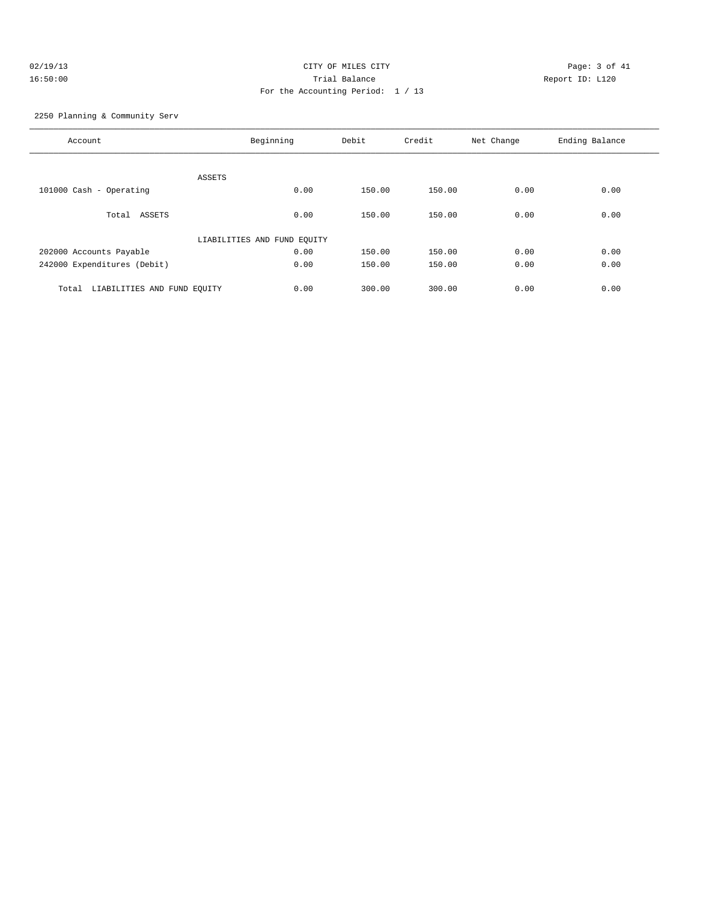# 02/19/13 CITY OF MILES CITY Page: 3 of 41 16:50:00 Trial Balance Report ID: L120 For the Accounting Period: 1 / 13

2250 Planning & Community Serv

| Account                              | Beginning                   | Debit  | Credit | Net Change | Ending Balance |
|--------------------------------------|-----------------------------|--------|--------|------------|----------------|
| ASSETS                               |                             |        |        |            |                |
| 101000 Cash - Operating              | 0.00                        | 150.00 | 150.00 | 0.00       | 0.00           |
| Total ASSETS                         | 0.00                        | 150.00 | 150.00 | 0.00       | 0.00           |
|                                      | LIABILITIES AND FUND EQUITY |        |        |            |                |
| 202000 Accounts Payable              | 0.00                        | 150.00 | 150.00 | 0.00       | 0.00           |
| 242000 Expenditures (Debit)          | 0.00                        | 150.00 | 150.00 | 0.00       | 0.00           |
| LIABILITIES AND FUND EQUITY<br>Total | 0.00                        | 300.00 | 300.00 | 0.00       | 0.00           |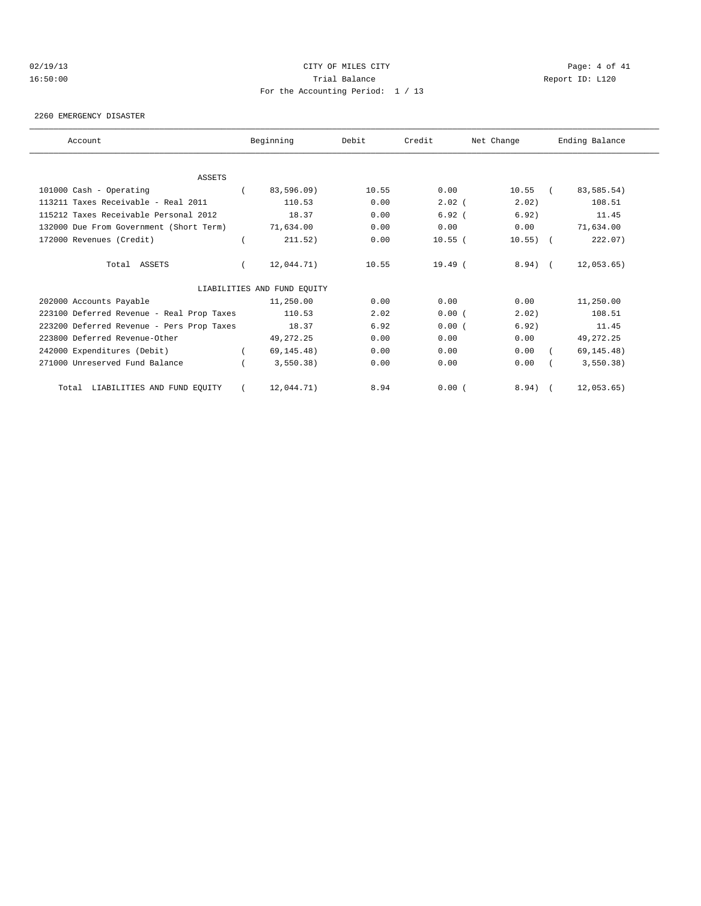#### 02/19/13 CITY OF MILES CITY Page: 4 of 41 16:50:00 Trial Balance Report ID: L120 For the Accounting Period: 1 / 13

2260 EMERGENCY DISASTER

| Account                                   | Beginning                   | Debit | Credit    | Net Change   |               | Ending Balance |
|-------------------------------------------|-----------------------------|-------|-----------|--------------|---------------|----------------|
|                                           |                             |       |           |              |               |                |
| <b>ASSETS</b>                             |                             |       |           |              |               |                |
| 101000 Cash - Operating                   | 83,596.09)                  | 10.55 | 0.00      | 10.55        | $\sim$ $\sim$ | 83,585.54)     |
| 113211 Taxes Receivable - Real 2011       | 110.53                      | 0.00  | $2.02$ (  | 2.02)        |               | 108.51         |
| 115212 Taxes Receivable Personal 2012     | 18.37                       | 0.00  | 6.92(     | 6.92)        |               | 11.45          |
| 132000 Due From Government (Short Term)   | 71,634.00                   | 0.00  | 0.00      | 0.00         |               | 71,634.00      |
| 172000 Revenues (Credit)                  | 211.52)                     | 0.00  | $10.55$ ( | $10.55)$ (   |               | 222.07)        |
| Total ASSETS                              | 12,044.71)                  | 10.55 | 19.49(    | $8.94$ ) $($ |               | 12,053.65)     |
|                                           | LIABILITIES AND FUND EQUITY |       |           |              |               |                |
| 202000 Accounts Payable                   | 11,250.00                   | 0.00  | 0.00      | 0.00         |               | 11,250.00      |
| 223100 Deferred Revenue - Real Prop Taxes | 110.53                      | 2.02  | 0.00(     | 2.02)        |               | 108.51         |
| 223200 Deferred Revenue - Pers Prop Taxes | 18.37                       | 6.92  | 0.00(     | 6.92)        |               | 11.45          |
| 223800 Deferred Revenue-Other             | 49, 272. 25                 | 0.00  | 0.00      | 0.00         |               | 49, 272. 25    |
| 242000 Expenditures (Debit)               | 69, 145.48)                 | 0.00  | 0.00      | 0.00         |               | 69, 145. 48)   |
| 271000 Unreserved Fund Balance            | 3,550,38                    | 0.00  | 0.00      | 0.00         |               | 3,550.38)      |
| Total LIABILITIES AND FUND EQUITY         | 12,044.71)                  | 8.94  | 0.00(     | $8.94$ ) (   |               | 12,053.65)     |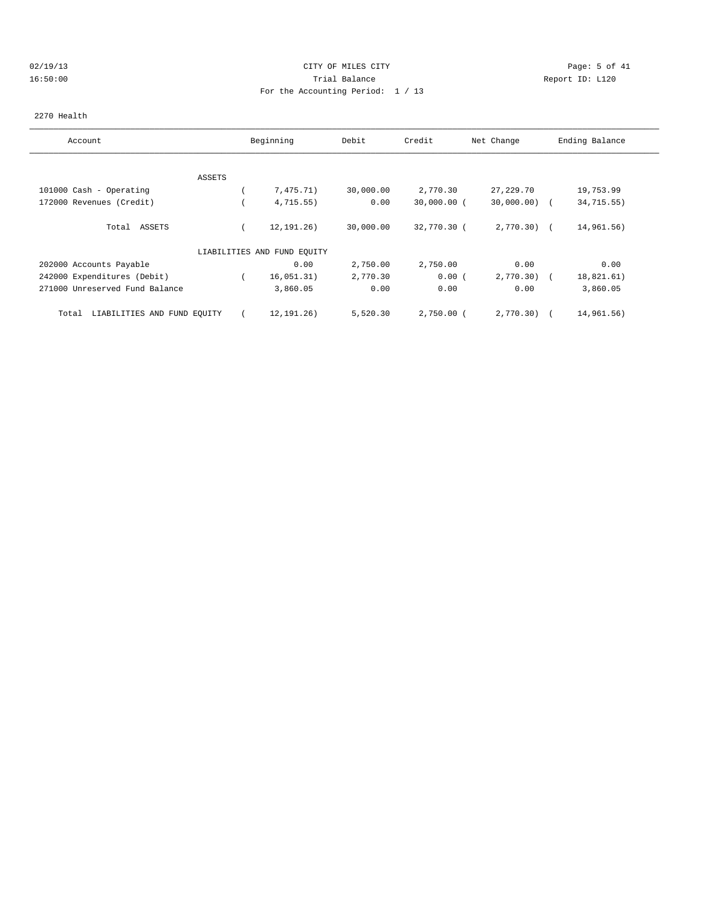# 02/19/13 Page: 5 of 41 16:50:00 Trial Balance Report ID: L120 For the Accounting Period: 1 / 13

#### 2270 Health

| Account                              |               | Beginning                   | Debit     | Credit        | Net Change     | Ending Balance |
|--------------------------------------|---------------|-----------------------------|-----------|---------------|----------------|----------------|
|                                      |               |                             |           |               |                |                |
|                                      | <b>ASSETS</b> |                             |           |               |                |                |
| 101000 Cash - Operating              |               | 7,475.71)                   | 30,000.00 | 2,770.30      | 27, 229.70     | 19,753.99      |
| 172000 Revenues (Credit)             |               | 4,715.55)                   | 0.00      | $30,000.00$ ( | $30,000.00)$ ( | 34,715.55)     |
| Total ASSETS                         |               | 12, 191, 26)                | 30,000.00 | 32,770.30 (   | $2,770.30$ (   | 14,961.56)     |
|                                      |               | LIABILITIES AND FUND EQUITY |           |               |                |                |
| 202000 Accounts Payable              |               | 0.00                        | 2,750.00  | 2,750.00      | 0.00           | 0.00           |
| 242000 Expenditures (Debit)          |               | 16,051.31)                  | 2,770.30  | 0.00(         | 2,770.30)      | 18,821.61)     |
| 271000 Unreserved Fund Balance       |               | 3,860.05                    | 0.00      | 0.00          | 0.00           | 3,860.05       |
| LIABILITIES AND FUND EQUITY<br>Total |               | 12,191.26)                  | 5,520.30  | $2,750.00$ (  | 2,770.30)      | 14,961.56)     |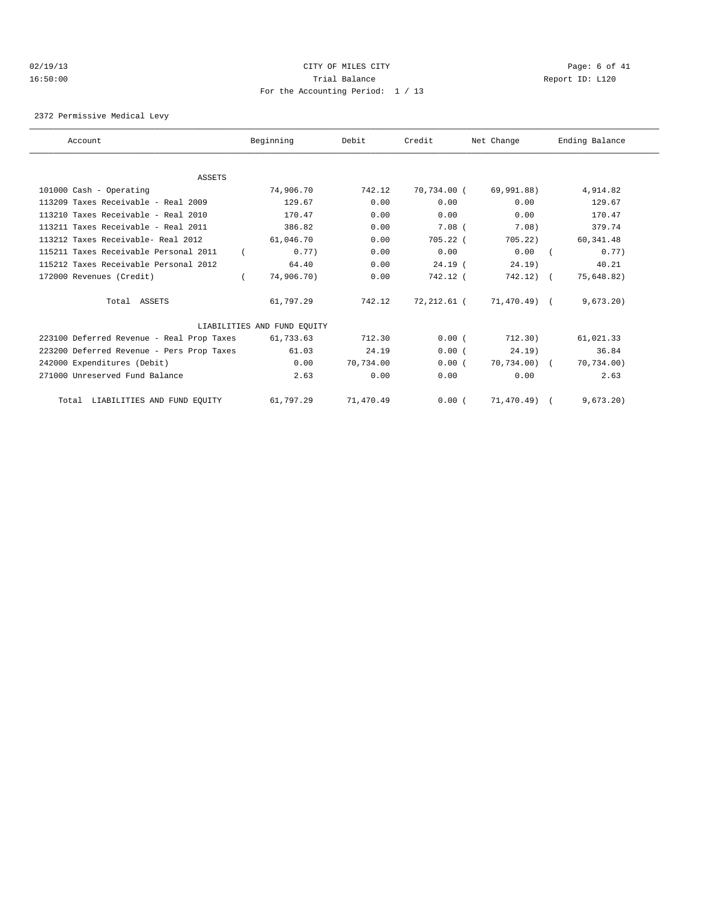#### 02/19/13 Page: 6 of 41 16:50:00 Trial Balance Report ID: L120 For the Accounting Period: 1 / 13

2372 Permissive Medical Levy

| Account                                   | Beginning                   | Debit     | Credit      | Net Change   | Ending Balance |  |
|-------------------------------------------|-----------------------------|-----------|-------------|--------------|----------------|--|
|                                           |                             |           |             |              |                |  |
| ASSETS                                    |                             |           |             |              |                |  |
| 101000 Cash - Operating                   | 74,906.70                   | 742.12    | 70,734.00 ( | 69,991.88)   | 4,914.82       |  |
| 113209 Taxes Receivable - Real 2009       | 129.67                      | 0.00      | 0.00        | 0.00         | 129.67         |  |
| 113210 Taxes Receivable - Real 2010       | 170.47                      | 0.00      | 0.00        | 0.00         | 170.47         |  |
| 113211 Taxes Receivable - Real 2011       | 386.82                      | 0.00      | $7.08$ (    | 7.08)        | 379.74         |  |
| 113212 Taxes Receivable- Real 2012        | 61,046.70                   | 0.00      | $705.22$ (  | 705.22       | 60,341.48      |  |
| 115211 Taxes Receivable Personal 2011     | 0.77                        | 0.00      | 0.00        | 0.00         | 0.77           |  |
| 115212 Taxes Receivable Personal 2012     | 64.40                       | 0.00      | $24.19$ (   | 24.19)       | 40.21          |  |
| 172000 Revenues (Credit)                  | 74,906.70)                  | 0.00      | 742.12 (    | $742.12)$ (  | 75,648.82)     |  |
| Total ASSETS                              | 61,797.29                   | 742.12    | 72,212.61 ( | 71,470.49) ( | 9,673.20       |  |
|                                           | LIABILITIES AND FUND EQUITY |           |             |              |                |  |
| 223100 Deferred Revenue - Real Prop Taxes | 61,733.63                   | 712.30    | 0.00(       | 712.30)      | 61,021.33      |  |
| 223200 Deferred Revenue - Pers Prop Taxes | 61.03                       | 24.19     | 0.00(       | 24.19)       | 36.84          |  |
| 242000 Expenditures (Debit)               | 0.00                        | 70.734.00 | 0.00(       | 70,734.00) ( | 70,734.00)     |  |
| 271000 Unreserved Fund Balance            | 2.63                        | 0.00      | 0.00        | 0.00         | 2.63           |  |
| Total LIABILITIES AND FUND EQUITY         | 61,797.29                   | 71,470.49 | 0.00(       | 71,470.49)   | 9,673.20)      |  |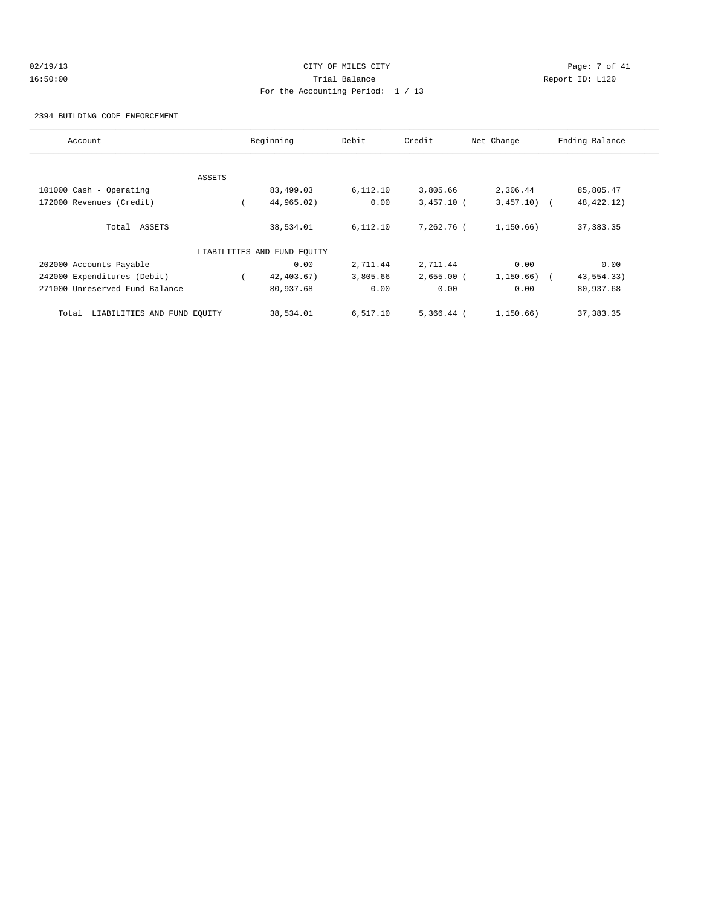# 02/19/13 Page: 7 of 41 16:50:00 Trial Balance Report ID: L120 For the Accounting Period: 1 / 13

#### 2394 BUILDING CODE ENFORCEMENT

| Account                              |        | Beginning                   | Debit    | Credit       | Net Change     | Ending Balance |
|--------------------------------------|--------|-----------------------------|----------|--------------|----------------|----------------|
|                                      |        |                             |          |              |                |                |
|                                      | ASSETS |                             |          |              |                |                |
| 101000 Cash - Operating              |        | 83,499.03                   | 6,112.10 | 3,805.66     | 2,306.44       | 85,805.47      |
| 172000 Revenues (Credit)             |        | 44,965.02)                  | 0.00     | $3,457.10$ ( | $3,457.10$ (   | 48, 422. 12)   |
| Total ASSETS                         |        | 38,534.01                   | 6,112.10 | 7,262.76 (   | 1,150.66)      | 37, 383.35     |
|                                      |        | LIABILITIES AND FUND EQUITY |          |              |                |                |
| 202000 Accounts Payable              |        | 0.00                        | 2,711.44 | 2,711.44     | 0.00           | 0.00           |
| 242000 Expenditures (Debit)          |        | 42, 403.67)                 | 3,805.66 | $2,655.00$ ( | $1,150.66$ ) ( | 43,554.33)     |
| 271000 Unreserved Fund Balance       |        | 80,937.68                   | 0.00     | 0.00         | 0.00           | 80,937.68      |
| LIABILITIES AND FUND EQUITY<br>Total |        | 38,534.01                   | 6,517.10 | $5,366.44$ ( | 1,150.66)      | 37, 383.35     |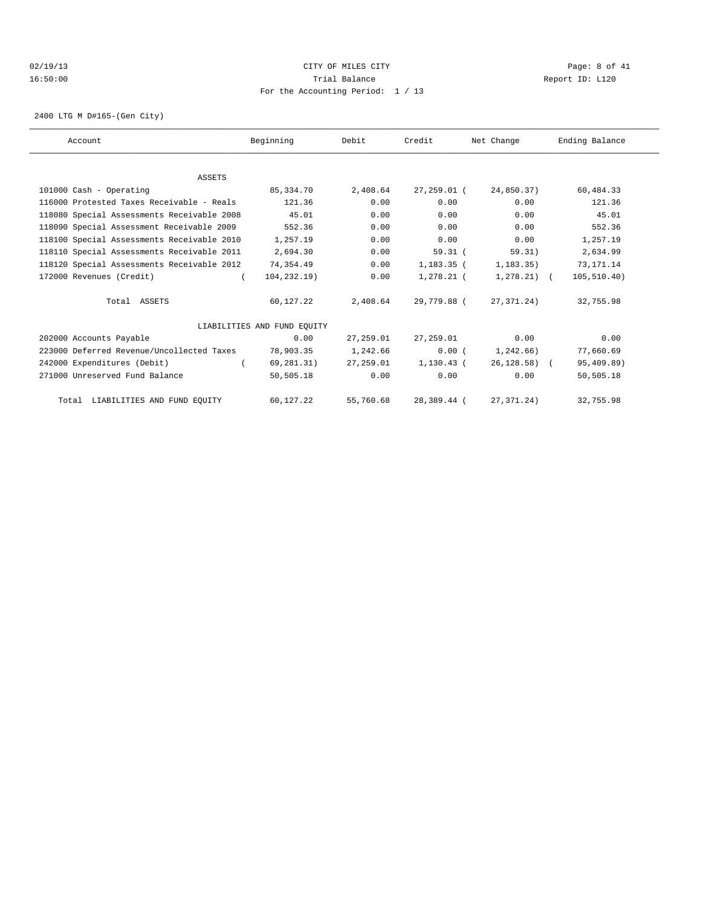#### 02/19/13 Page: 8 of 41 16:50:00 Trial Balance Report ID: L120 For the Accounting Period: 1 / 13

2400 LTG M D#165-(Gen City)

| Account                                    | Beginning                   | Debit     | Credit       | Net Change       | Ending Balance |  |
|--------------------------------------------|-----------------------------|-----------|--------------|------------------|----------------|--|
|                                            |                             |           |              |                  |                |  |
| <b>ASSETS</b>                              |                             |           |              |                  |                |  |
| 101000 Cash - Operating                    | 85,334.70                   | 2,408.64  | 27,259.01 (  | 24,850.37)       | 60,484.33      |  |
| 116000 Protested Taxes Receivable - Reals  | 121.36                      | 0.00      | 0.00         | 0.00             | 121.36         |  |
| 118080 Special Assessments Receivable 2008 | 45.01                       | 0.00      | 0.00         | 0.00             | 45.01          |  |
| 118090 Special Assessment Receivable 2009  | 552.36                      | 0.00      | 0.00         | 0.00             | 552.36         |  |
| 118100 Special Assessments Receivable 2010 | 1,257.19                    | 0.00      | 0.00         | 0.00             | 1,257.19       |  |
| 118110 Special Assessments Receivable 2011 | 2,694.30                    | 0.00      | 59.31(       | 59.31)           | 2,634.99       |  |
| 118120 Special Assessments Receivable 2012 | 74,354.49                   | 0.00      | $1,183.35$ ( | 1, 183.35)       | 73, 171. 14    |  |
| 172000 Revenues (Credit)                   | 104, 232.19)                | 0.00      | 1,278.21 (   | $1,278.21$ (     | 105, 510.40)   |  |
| Total ASSETS                               | 60,127.22                   | 2,408.64  | 29,779.88 (  | 27, 371, 24)     | 32,755.98      |  |
|                                            | LIABILITIES AND FUND EOUITY |           |              |                  |                |  |
| 202000 Accounts Payable                    | 0.00                        | 27,259.01 | 27,259.01    | 0.00             | 0.00           |  |
| 223000 Deferred Revenue/Uncollected Taxes  | 78,903.35                   | 1,242.66  | 0.00(        | 1,242.66)        | 77,660.69      |  |
| 242000 Expenditures (Debit)                | 69,281.31)                  | 27,259.01 | 1,130.43 (   | $26, 128.58$ ) ( | 95,409.89)     |  |
| 271000 Unreserved Fund Balance             | 50,505.18                   | 0.00      | 0.00         | 0.00             | 50,505.18      |  |
| Total LIABILITIES AND FUND EQUITY          | 60,127.22                   | 55,760.68 | 28,389.44 (  | 27, 371. 24)     | 32,755.98      |  |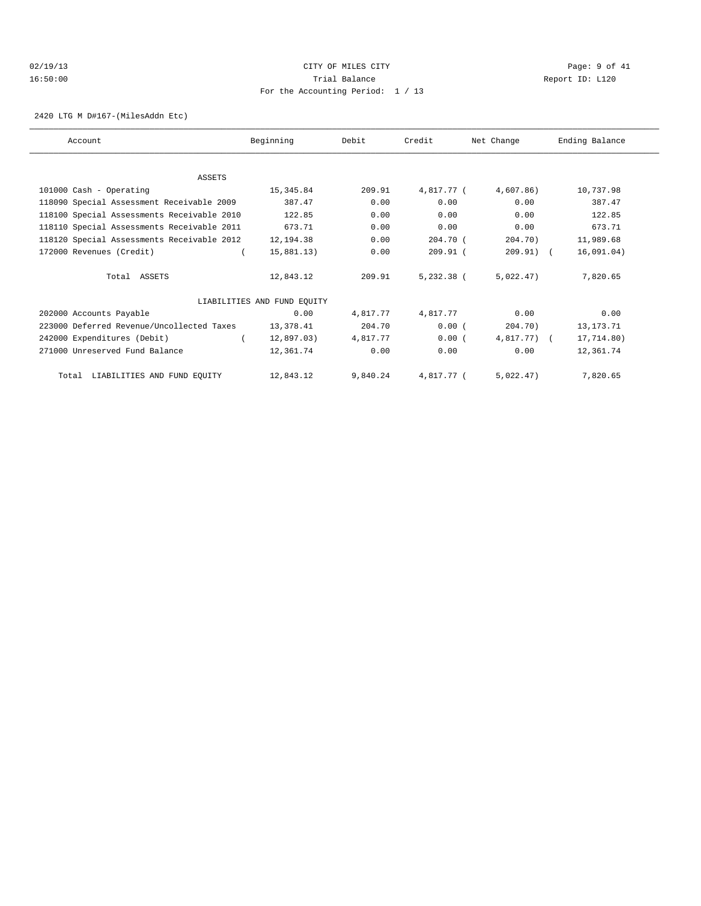# 02/19/13 Page: 9 of 41 16:50:00 Trial Balance Report ID: L120 For the Accounting Period: 1 / 13

2420 LTG M D#167-(MilesAddn Etc)

| Account                                    | Beginning                   | Debit    | Credit     | Net Change    | Ending Balance |
|--------------------------------------------|-----------------------------|----------|------------|---------------|----------------|
|                                            |                             |          |            |               |                |
| ASSETS                                     |                             |          |            |               |                |
| 101000 Cash - Operating                    | 15,345.84                   | 209.91   | 4,817.77 ( | 4,607.86)     | 10,737.98      |
| 118090 Special Assessment Receivable 2009  | 387.47                      | 0.00     | 0.00       | 0.00          | 387.47         |
| 118100 Special Assessments Receivable 2010 | 122.85                      | 0.00     | 0.00       | 0.00          | 122.85         |
| 118110 Special Assessments Receivable 2011 | 673.71                      | 0.00     | 0.00       | 0.00          | 673.71         |
| 118120 Special Assessments Receivable 2012 | 12,194.38                   | 0.00     | 204.70 (   | 204.70)       | 11,989.68      |
| 172000 Revenues (Credit)                   | 15,881.13)                  | 0.00     | $209.91$ ( | $209.91$ (    | 16,091.04)     |
| Total ASSETS                               | 12,843.12                   | 209.91   | 5,232.38 ( | 5,022.47)     | 7,820.65       |
|                                            | LIABILITIES AND FUND EQUITY |          |            |               |                |
| 202000 Accounts Payable                    | 0.00                        | 4,817.77 | 4,817.77   | 0.00          | 0.00           |
| 223000 Deferred Revenue/Uncollected Taxes  | 13,378.41                   | 204.70   | 0.00(      | 204.70)       | 13, 173. 71    |
| 242000 Expenditures (Debit)                | 12,897.03)                  | 4,817.77 | 0.00(      | $4,817.77)$ ( | 17,714.80)     |
| 271000 Unreserved Fund Balance             | 12,361.74                   | 0.00     | 0.00       | 0.00          | 12,361.74      |
| LIABILITIES AND FUND EQUITY<br>Total       | 12,843.12                   | 9,840.24 | 4,817.77 ( | 5.022.47)     | 7,820.65       |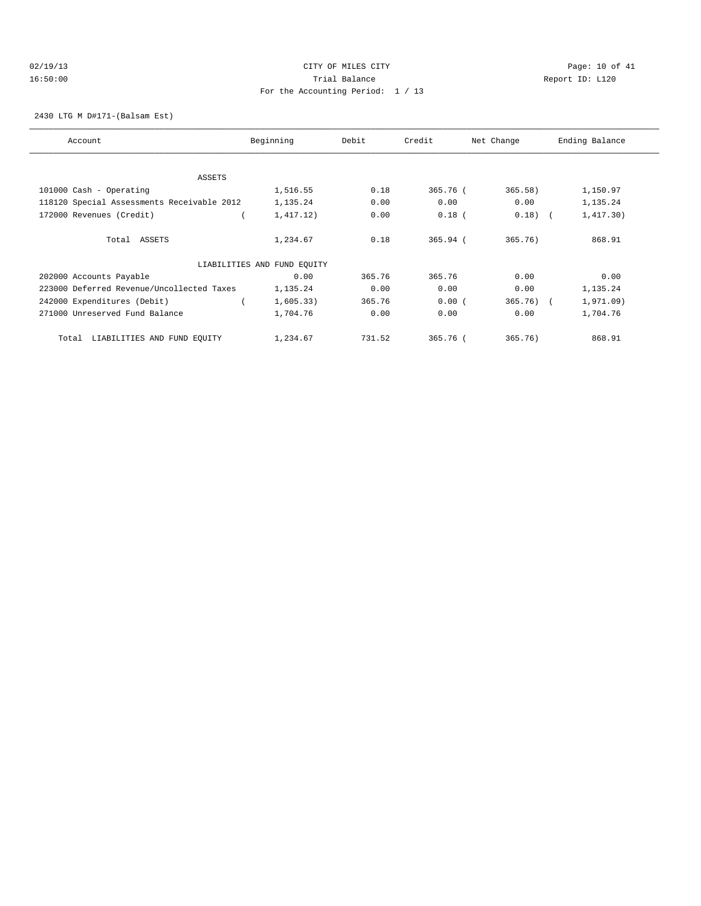# 02/19/13 Page: 10 of 41 16:50:00 Trial Balance Report ID: L120 For the Accounting Period: 1 / 13

2430 LTG M D#171-(Balsam Est)

| Account                                    | Beginning                   | Debit  | Credit     | Net Change | Ending Balance |
|--------------------------------------------|-----------------------------|--------|------------|------------|----------------|
|                                            |                             |        |            |            |                |
| ASSETS                                     |                             |        |            |            |                |
| 101000 Cash - Operating                    | 1,516.55                    | 0.18   | 365.76 (   | 365.58)    | 1,150.97       |
| 118120 Special Assessments Receivable 2012 | 1,135.24                    | 0.00   | 0.00       | 0.00       | 1,135.24       |
| 172000 Revenues (Credit)                   | 1,417.12)                   | 0.00   | $0.18$ (   | $0.18)$ (  | 1,417.30)      |
| Total ASSETS                               | 1,234.67                    | 0.18   | $365.94$ ( | 365.76)    | 868.91         |
|                                            | LIABILITIES AND FUND EQUITY |        |            |            |                |
| 202000 Accounts Payable                    | 0.00                        | 365.76 | 365.76     | 0.00       | 0.00           |
| 223000 Deferred Revenue/Uncollected Taxes  | 1,135.24                    | 0.00   | 0.00       | 0.00       | 1,135.24       |
| 242000 Expenditures (Debit)                | 1,605.33)                   | 365.76 | 0.00(      | $365.76$ ( | 1,971.09)      |
| 271000 Unreserved Fund Balance             | 1,704.76                    | 0.00   | 0.00       | 0.00       | 1,704.76       |
| LIABILITIES AND FUND EQUITY<br>Total       | 1,234.67                    | 731.52 | 365.76 (   | 365.76)    | 868.91         |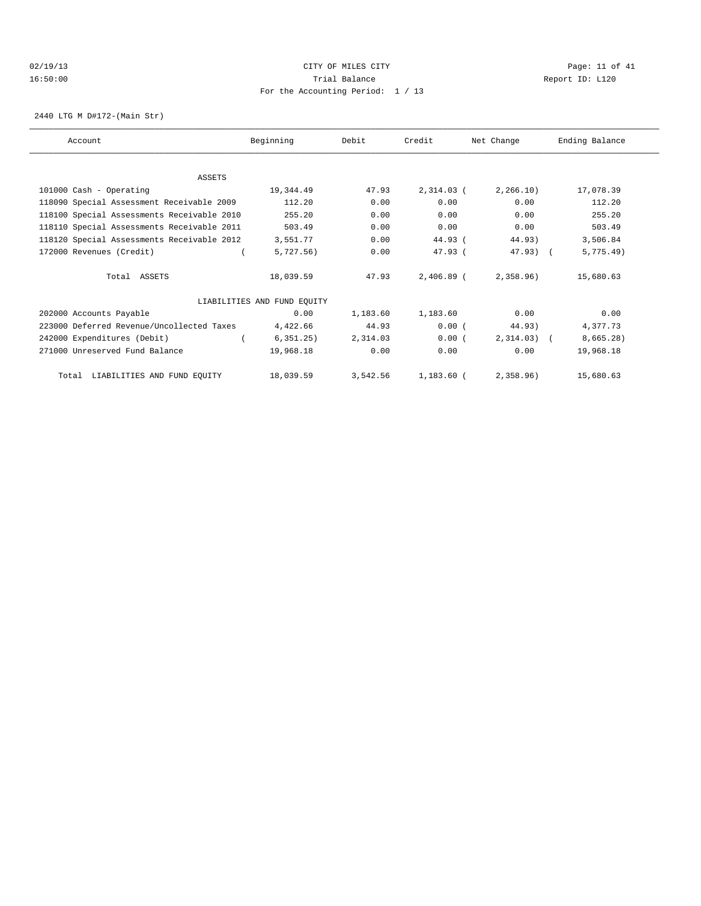#### $CITY$   $CITY$   $CITY$   $CITY$   $PAGE: 11$  of 41 16:50:00 Trial Balance Report ID: L120 For the Accounting Period: 1 / 13

2440 LTG M D#172-(Main Str)

| Account                                    | Beginning                   | Debit    | Credit       | Net Change   | Ending Balance |
|--------------------------------------------|-----------------------------|----------|--------------|--------------|----------------|
|                                            |                             |          |              |              |                |
| <b>ASSETS</b>                              |                             |          |              |              |                |
| 101000 Cash - Operating                    | 19,344.49                   | 47.93    | 2,314.03 (   | 2, 266.10)   | 17,078.39      |
| 118090 Special Assessment Receivable 2009  | 112.20                      | 0.00     | 0.00         | 0.00         | 112.20         |
| 118100 Special Assessments Receivable 2010 | 255.20                      | 0.00     | 0.00         | 0.00         | 255.20         |
| 118110 Special Assessments Receivable 2011 | 503.49                      | 0.00     | 0.00         | 0.00         | 503.49         |
| 118120 Special Assessments Receivable 2012 | 3,551.77                    | 0.00     | $44.93$ (    | 44.93)       | 3,506.84       |
| 172000 Revenues (Credit)                   | 5,727.56)                   | 0.00     | $47.93$ (    | $47.93$ ) (  | 5,775.49)      |
| Total ASSETS                               | 18,039.59                   | 47.93    | $2,406.89$ ( | 2,358.96)    | 15,680.63      |
|                                            | LIABILITIES AND FUND EQUITY |          |              |              |                |
| 202000 Accounts Payable                    | 0.00                        | 1,183.60 | 1,183.60     | 0.00         | 0.00           |
| 223000 Deferred Revenue/Uncollected Taxes  | 4,422.66                    | 44.93    | 0.00(        | 44.93)       | 4,377.73       |
| 242000 Expenditures (Debit)                | 6, 351.25)                  | 2,314.03 | 0.00(        | $2,314.03$ ( | 8,665.28)      |
| 271000 Unreserved Fund Balance             | 19,968.18                   | 0.00     | 0.00         | 0.00         | 19,968.18      |
| Total LIABILITIES AND FUND EQUITY          | 18,039.59                   | 3,542.56 | 1,183.60 (   | 2,358,96     | 15,680.63      |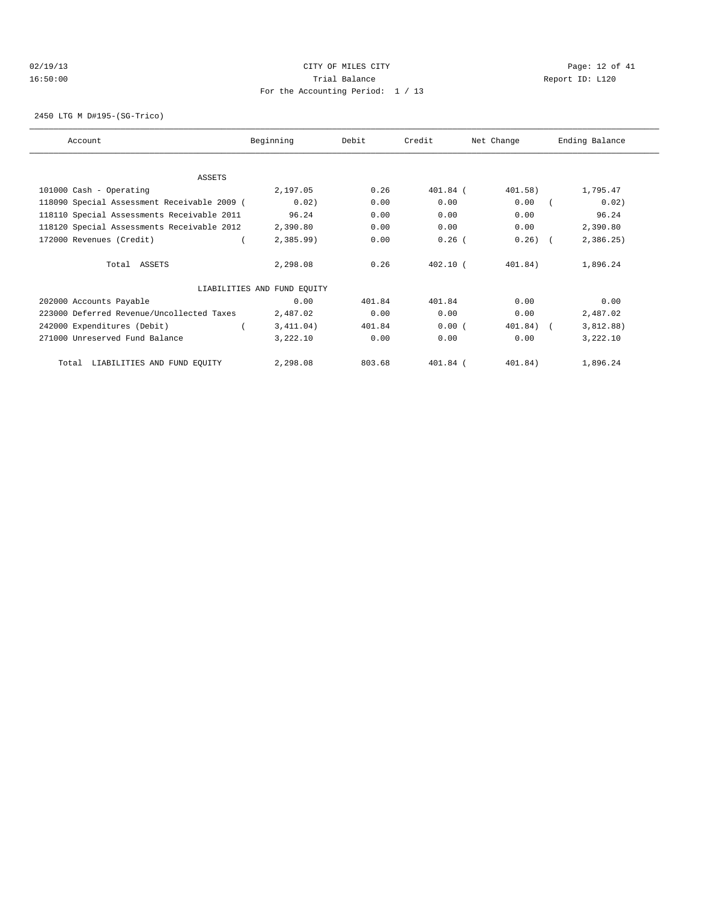# 02/19/13 Page: 12 of 41 16:50:00 Trial Balance Report ID: L120 For the Accounting Period: 1 / 13

2450 LTG M D#195-(SG-Trico)

| Account                                     | Beginning                   | Debit  | Credit     | Net Change | Ending Balance |
|---------------------------------------------|-----------------------------|--------|------------|------------|----------------|
| ASSETS                                      |                             |        |            |            |                |
| 101000 Cash - Operating                     | 2,197.05                    | 0.26   | 401.84 (   | 401.58)    | 1,795.47       |
| 118090 Special Assessment Receivable 2009 ( | 0.02)                       | 0.00   | 0.00       | 0.00       | 0.02)          |
| 118110 Special Assessments Receivable 2011  | 96.24                       | 0.00   | 0.00       | 0.00       | 96.24          |
| 118120 Special Assessments Receivable 2012  | 2,390.80                    | 0.00   | 0.00       | 0.00       | 2,390.80       |
| 172000 Revenues (Credit)                    | 2,385.99                    | 0.00   | $0.26$ (   | $0.26)$ (  | 2,386.25       |
| Total ASSETS                                | 2,298.08                    | 0.26   | $402.10$ ( | 401.84)    | 1,896.24       |
|                                             | LIABILITIES AND FUND EQUITY |        |            |            |                |
| 202000 Accounts Payable                     | 0.00                        | 401.84 | 401.84     | 0.00       | 0.00           |
| 223000 Deferred Revenue/Uncollected Taxes   | 2,487.02                    | 0.00   | 0.00       | 0.00       | 2,487.02       |
| 242000 Expenditures (Debit)                 | 3,411.04)                   | 401.84 | 0.00(      | 401.84) (  | 3,812.88)      |
| 271000 Unreserved Fund Balance              | 3,222.10                    | 0.00   | 0.00       | 0.00       | 3,222.10       |
| Total LIABILITIES AND FUND EQUITY           | 2,298.08                    | 803.68 | 401.84 (   | 401.84)    | 1,896.24       |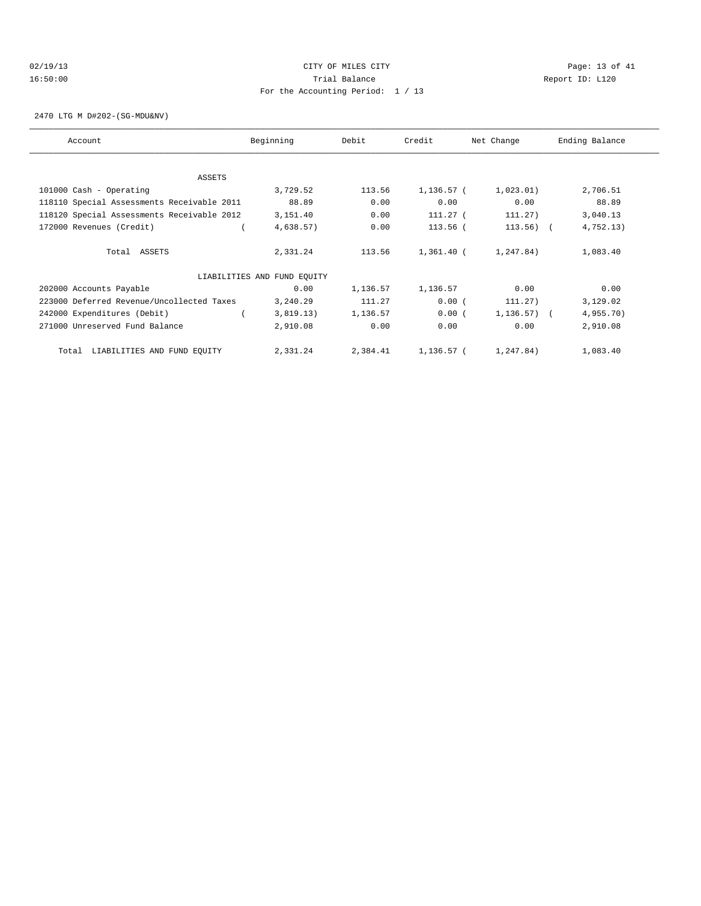# 02/19/13 Page: 13 of 41 16:50:00 Trial Balance Report ID: L120 For the Accounting Period: 1 / 13

2470 LTG M D#202-(SG-MDU&NV)

| Account                                    | Beginning                   | Debit    | Credit       | Net Change | Ending Balance |
|--------------------------------------------|-----------------------------|----------|--------------|------------|----------------|
|                                            |                             |          |              |            |                |
| <b>ASSETS</b>                              |                             |          |              |            |                |
| 101000 Cash - Operating                    | 3,729.52                    | 113.56   | 1,136.57 (   | 1,023.01)  | 2,706.51       |
| 118110 Special Assessments Receivable 2011 | 88.89                       | 0.00     | 0.00         | 0.00       | 88.89          |
| 118120 Special Assessments Receivable 2012 | 3,151.40                    | 0.00     | $111.27$ (   | 111.27)    | 3,040.13       |
| 172000 Revenues (Credit)                   | 4,638.57)                   | 0.00     | 113.56 (     | 113.56)    | 4,752.13)      |
| Total ASSETS                               | 2,331.24                    | 113.56   | $1,361.40$ ( | 1,247.84)  | 1,083.40       |
|                                            | LIABILITIES AND FUND EQUITY |          |              |            |                |
| 202000 Accounts Payable                    | 0.00                        | 1,136.57 | 1,136.57     | 0.00       | 0.00           |
| 223000 Deferred Revenue/Uncollected Taxes  | 3,240.29                    | 111.27   | 0.00(        | 111.27)    | 3,129.02       |
| 242000 Expenditures (Debit)                | 3,819.13)                   | 1,136.57 | 0.00(        | 1,136.57)  | 4,955.70)      |
| 271000 Unreserved Fund Balance             | 2,910.08                    | 0.00     | 0.00         | 0.00       | 2,910.08       |
| LIABILITIES AND FUND EQUITY<br>Total       | 2,331.24                    | 2,384.41 | 1,136.57 (   | 1,247.84)  | 1,083.40       |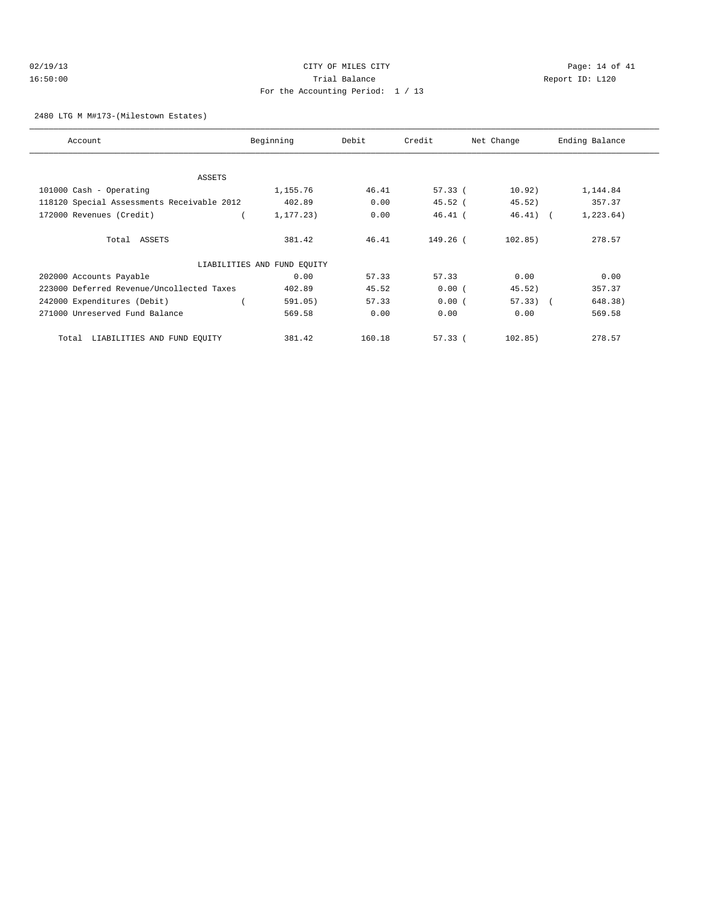# 02/19/13 Page: 14 of 41 16:50:00 Trial Balance Report ID: L120 For the Accounting Period: 1 / 13

#### 2480 LTG M M#173-(Milestown Estates)

| Account                                    | Beginning                   | Debit  | Credit<br>Net Change |             | Ending Balance |
|--------------------------------------------|-----------------------------|--------|----------------------|-------------|----------------|
|                                            |                             |        |                      |             |                |
| <b>ASSETS</b>                              |                             |        |                      |             |                |
| 101000 Cash - Operating                    | 1,155.76                    | 46.41  | 57.33(               | 10.92)      | 1,144.84       |
| 118120 Special Assessments Receivable 2012 | 402.89                      | 0.00   | 45.52(               | 45.52)      | 357.37         |
| 172000 Revenues (Credit)                   | 1,177.23)                   | 0.00   | $46.41$ (            | $46.41$ ) ( | 1, 223.64)     |
| Total ASSETS                               | 381.42                      | 46.41  | 149.26 (             | 102.85)     | 278.57         |
|                                            | LIABILITIES AND FUND EQUITY |        |                      |             |                |
| 202000 Accounts Payable                    | 0.00                        | 57.33  | 57.33                | 0.00        | 0.00           |
| 223000 Deferred Revenue/Uncollected Taxes  | 402.89                      | 45.52  | 0.00(                | 45.52)      | 357.37         |
| 242000 Expenditures (Debit)                | 591.05)                     | 57.33  | 0.00(                | $57.33)$ (  | 648.38)        |
| 271000 Unreserved Fund Balance             | 569.58                      | 0.00   | 0.00                 | 0.00        | 569.58         |
| LIABILITIES AND FUND EQUITY<br>Total       | 381.42                      | 160.18 | 57.33(               | 102.85)     | 278.57         |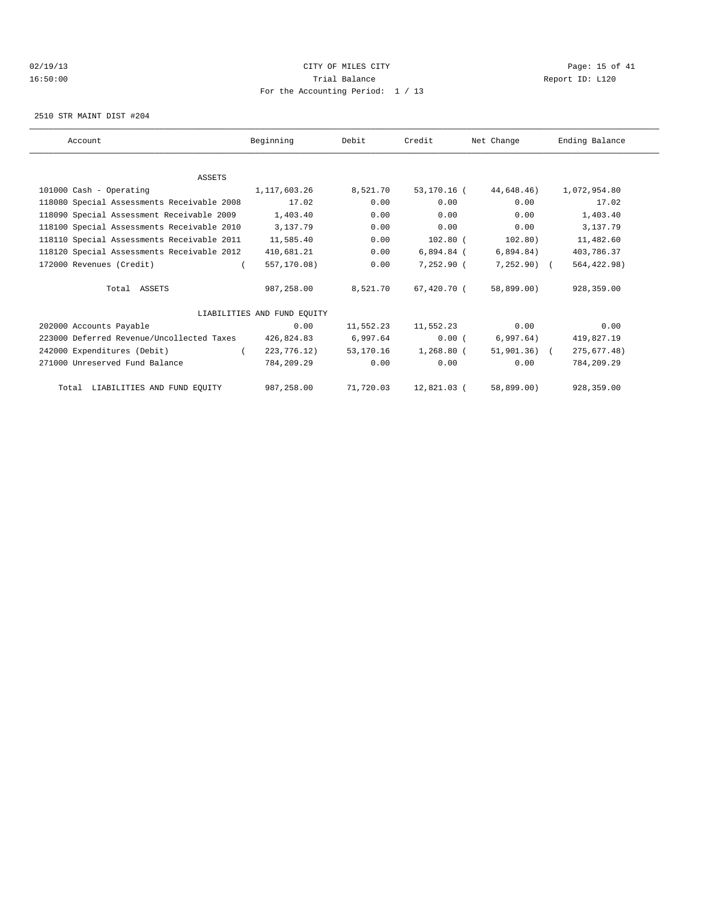#### 02/19/13 CITY OF MILES CITY Page: 15 of 41 16:50:00 Trial Balance Report ID: L120 For the Accounting Period: 1 / 13

2510 STR MAINT DIST #204

| Account                                    | Beginning                   | Debit     | Credit       | Net Change   | Ending Balance |
|--------------------------------------------|-----------------------------|-----------|--------------|--------------|----------------|
|                                            |                             |           |              |              |                |
| <b>ASSETS</b>                              |                             |           |              |              |                |
| 101000 Cash - Operating                    | 1,117,603.26                | 8,521.70  | 53,170.16 (  | 44,648,46)   | 1,072,954.80   |
| 118080 Special Assessments Receivable 2008 | 17.02                       | 0.00      | 0.00         | 0.00         | 17.02          |
| 118090 Special Assessment Receivable 2009  | 1,403.40                    | 0.00      | 0.00         | 0.00         | 1,403.40       |
| 118100 Special Assessments Receivable 2010 | 3,137.79                    | 0.00      | 0.00         | 0.00         | 3,137.79       |
| 118110 Special Assessments Receivable 2011 | 11,585.40                   | 0.00      | $102.80$ (   | 102.80)      | 11,482.60      |
| 118120 Special Assessments Receivable 2012 | 410,681.21                  | 0.00      | $6,894.84$ ( | 6,894.84)    | 403,786.37     |
| 172000 Revenues (Credit)                   | 557,170.08)                 | 0.00      | 7,252.90 (   | $7,252.90$ ( | 564, 422.98)   |
| Total ASSETS                               | 987,258.00                  | 8,521.70  | 67,420,70 (  | 58,899.00)   | 928, 359, 00   |
|                                            | LIABILITIES AND FUND EOUITY |           |              |              |                |
| 202000 Accounts Payable                    | 0.00                        | 11,552.23 | 11,552.23    | 0.00         | 0.00           |
| 223000 Deferred Revenue/Uncollected Taxes  | 426,824.83                  | 6,997.64  | 0.00(        | 6,997.64)    | 419,827.19     |
| 242000 Expenditures (Debit)                | 223,776.12)                 | 53,170.16 | 1,268.80 (   | 51,901,36) ( | 275, 677.48)   |
| 271000 Unreserved Fund Balance             | 784,209.29                  | 0.00      | 0.00         | 0.00         | 784,209.29     |
| Total LIABILITIES AND FUND EQUITY          | 987,258.00                  | 71,720.03 | 12,821.03 (  | 58,899.00)   | 928,359.00     |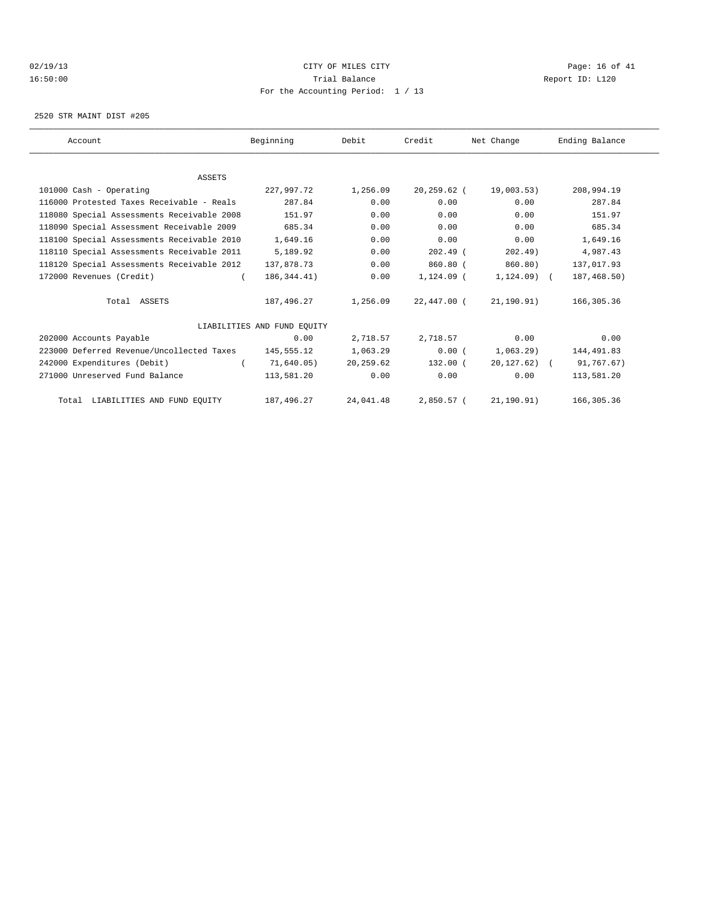#### $O(19/13$   $O(19/13)$   $O(10/13)$   $O(10/13)$   $O(10/13)$   $O(10/13)$   $O(10/13)$   $O(10/13)$   $O(10/13)$   $O(10/13)$ 16:50:00 Trial Balance Report ID: L120 For the Accounting Period: 1 / 13

2520 STR MAINT DIST #205

| Account                                    | Beginning                   | Debit     | Credit         | Net Change    | Ending Balance |
|--------------------------------------------|-----------------------------|-----------|----------------|---------------|----------------|
|                                            |                             |           |                |               |                |
| <b>ASSETS</b>                              |                             |           |                |               |                |
| 101000 Cash - Operating                    | 227,997.72                  | 1,256.09  | $20, 259.62$ ( | 19,003.53)    | 208,994.19     |
| 116000 Protested Taxes Receivable - Reals  | 287.84                      | 0.00      | 0.00           | 0.00          | 287.84         |
| 118080 Special Assessments Receivable 2008 | 151.97                      | 0.00      | 0.00           | 0.00          | 151.97         |
| 118090 Special Assessment Receivable 2009  | 685.34                      | 0.00      | 0.00           | 0.00          | 685.34         |
| 118100 Special Assessments Receivable 2010 | 1,649.16                    | 0.00      | 0.00           | 0.00          | 1,649.16       |
| 118110 Special Assessments Receivable 2011 | 5,189.92                    | 0.00      | $202.49$ (     | 202.49)       | 4,987.43       |
| 118120 Special Assessments Receivable 2012 | 137,878.73                  | 0.00      | 860.80 (       | 860.80)       | 137,017.93     |
| 172000 Revenues (Credit)                   | 186, 344.41)                | 0.00      | $1,124.09$ (   | $1,124.09$ (  | 187,468.50)    |
| Total ASSETS                               | 187,496.27                  | 1,256.09  | 22,447.00 (    | 21,190.91)    | 166,305.36     |
|                                            | LIABILITIES AND FUND EQUITY |           |                |               |                |
| 202000 Accounts Payable                    | 0.00                        | 2,718.57  | 2,718.57       | 0.00          | 0.00           |
| 223000 Deferred Revenue/Uncollected Taxes  | 145,555.12                  | 1,063.29  | 0.00(          | $1,063.29$ )  | 144,491.83     |
| 242000 Expenditures (Debit)                | 71.640.05)                  | 20,259.62 | 132.00 (       | $20,127.62$ ( | 91,767.67)     |
| 271000 Unreserved Fund Balance             | 113,581.20                  | 0.00      | 0.00           | 0.00          | 113,581.20     |
| Total LIABILITIES AND FUND EQUITY          | 187,496.27                  | 24,041.48 | 2,850.57 (     | 21, 190, 91)  | 166, 305, 36   |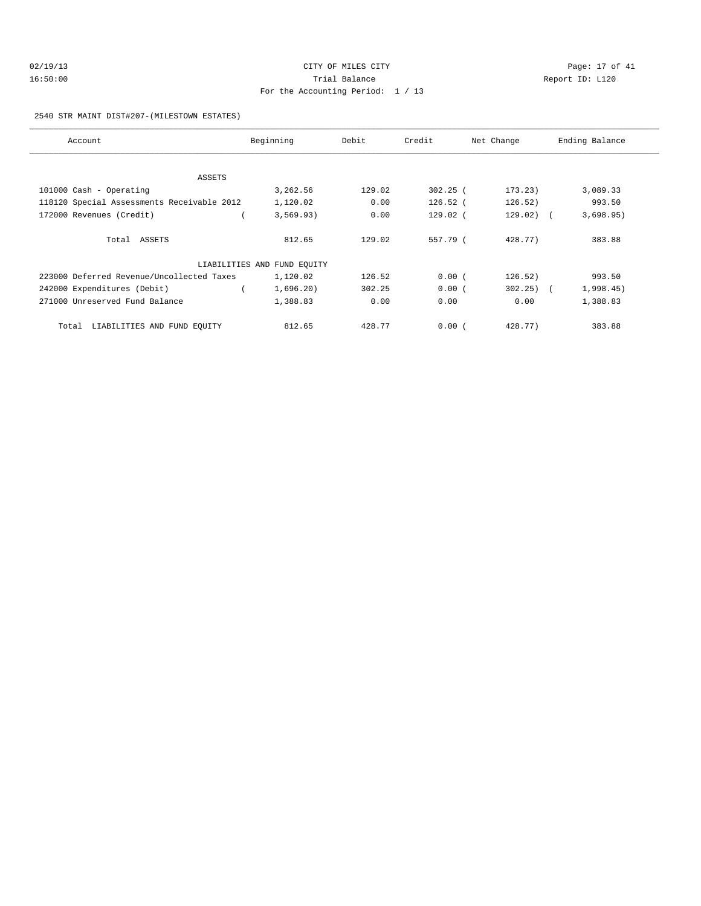| 02/19/13 | CITY OF MILES CITY                | Page: 17 of 41  |
|----------|-----------------------------------|-----------------|
| 16:50:00 | Trial Balance                     | Report ID: L120 |
|          | For the Accounting Period: 1 / 13 |                 |

2540 STR MAINT DIST#207-(MILESTOWN ESTATES)

| Account                                    | Beginning                   | Debit  | Credit     | Net Change   | Ending Balance |
|--------------------------------------------|-----------------------------|--------|------------|--------------|----------------|
|                                            |                             |        |            |              |                |
| ASSETS                                     |                             |        |            |              |                |
| $101000$ Cash - Operating                  | 3,262.56                    | 129.02 | $302.25$ ( | 173.23)      | 3,089.33       |
| 118120 Special Assessments Receivable 2012 | 1,120.02                    | 0.00   | $126.52$ ( | 126.52)      | 993.50         |
| 172000 Revenues (Credit)                   | 3,569.93)                   | 0.00   | $129.02$ ( | $129.02)$ (  | 3,698.95)      |
|                                            |                             |        |            |              |                |
| Total ASSETS                               | 812.65                      | 129.02 | 557.79 (   | 428.77)      | 383.88         |
|                                            | LIABILITIES AND FUND EQUITY |        |            |              |                |
| 223000 Deferred Revenue/Uncollected Taxes  | 1,120.02                    | 126.52 | 0.00(      | 126.52)      | 993.50         |
| 242000 Expenditures (Debit)                | 1,696.20)                   | 302.25 | 0.00(      | $302.25$ ) ( | 1,998.45)      |
| 271000 Unreserved Fund Balance             | 1,388.83                    | 0.00   | 0.00       | 0.00         | 1,388.83       |
| Total<br>LIABILITIES AND FUND EQUITY       | 812.65                      | 428.77 | 0.00(      | 428.77)      | 383.88         |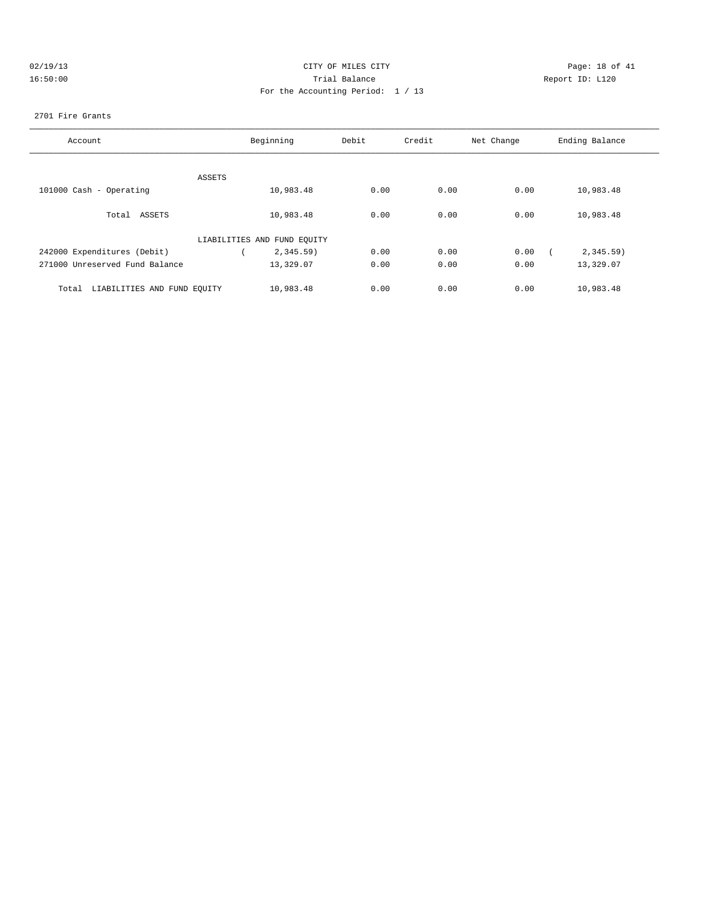| 02/19/13 |  |
|----------|--|
| 16:50:00 |  |

# CITY OF MILES CITY CONTROL CONTROL CONTROL CONTROL CONTROL PAGE: 18 of 41 16:50:00 Trial Balance Report ID: L120 For the Accounting Period: 1 / 13

#### 2701 Fire Grants

| Account                              | Beginning                   |              | Credit<br>Debit |      | Net Change | Ending Balance |  |
|--------------------------------------|-----------------------------|--------------|-----------------|------|------------|----------------|--|
|                                      |                             |              |                 |      |            |                |  |
|                                      | ASSETS                      |              |                 |      |            |                |  |
| 101000 Cash - Operating              |                             | 10,983.48    | 0.00            | 0.00 | 0.00       | 10,983.48      |  |
| Total ASSETS                         |                             | 10,983.48    | 0.00            | 0.00 | 0.00       | 10,983.48      |  |
|                                      | LIABILITIES AND FUND EQUITY |              |                 |      |            |                |  |
| 242000 Expenditures (Debit)          |                             | $2,345.59$ ) | 0.00            | 0.00 | 0.00       | $2,345.59$ )   |  |
| 271000 Unreserved Fund Balance       |                             | 13,329.07    | 0.00            | 0.00 | 0.00       | 13,329.07      |  |
| LIABILITIES AND FUND EQUITY<br>Total |                             | 10,983.48    | 0.00            | 0.00 | 0.00       | 10,983.48      |  |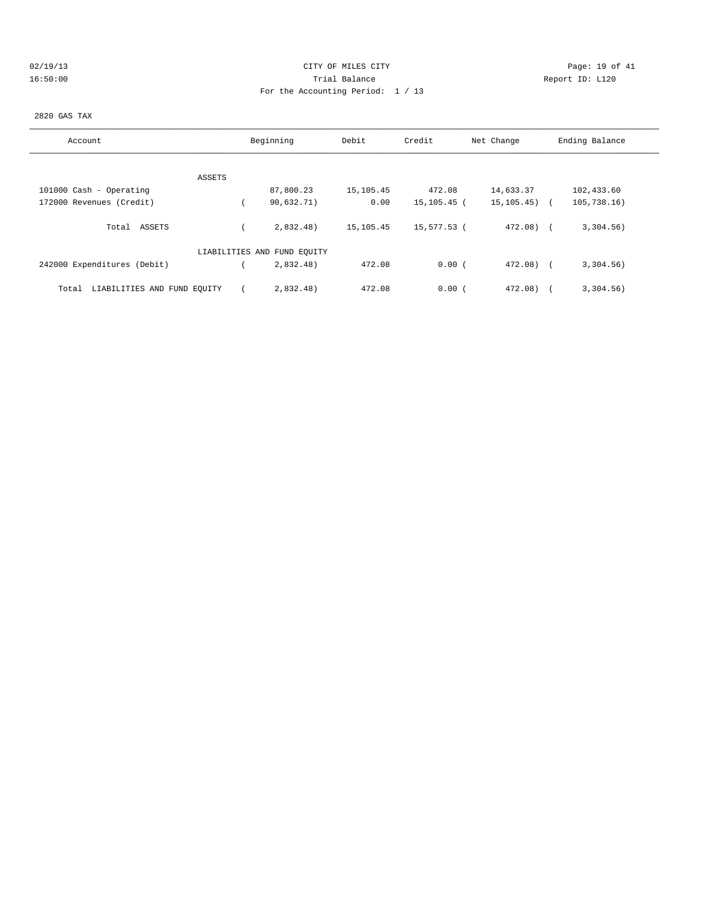# 02/19/13 Page: 19 of 41 16:50:00 Trial Balance Report ID: L120 For the Accounting Period: 1 / 13

#### 2820 GAS TAX

| Account                              | Beginning                   | Debit     | Credit      | Net Change       | Ending Balance |
|--------------------------------------|-----------------------------|-----------|-------------|------------------|----------------|
|                                      |                             |           |             |                  |                |
| ASSETS                               |                             |           |             |                  |                |
| 101000 Cash - Operating              | 87,800.23                   | 15,105.45 | 472.08      | 14,633.37        | 102,433.60     |
| 172000 Revenues (Credit)             | 90,632.71)                  | 0.00      | 15,105.45 ( | $15, 105, 45)$ ( | 105, 738.16)   |
| ASSETS<br>Total                      | 2,832.48)                   | 15,105.45 | 15,577.53 ( | $472.08$ (       | 3,304.56)      |
|                                      | LIABILITIES AND FUND EQUITY |           |             |                  |                |
| 242000 Expenditures (Debit)          | 2,832.48)                   | 472.08    | 0.00(       | $472.08$ (       | 3,304.56)      |
| LIABILITIES AND FUND EQUITY<br>Total | 2,832.48)                   | 472.08    | 0.00(       | 472.08)          | 3,304.56)      |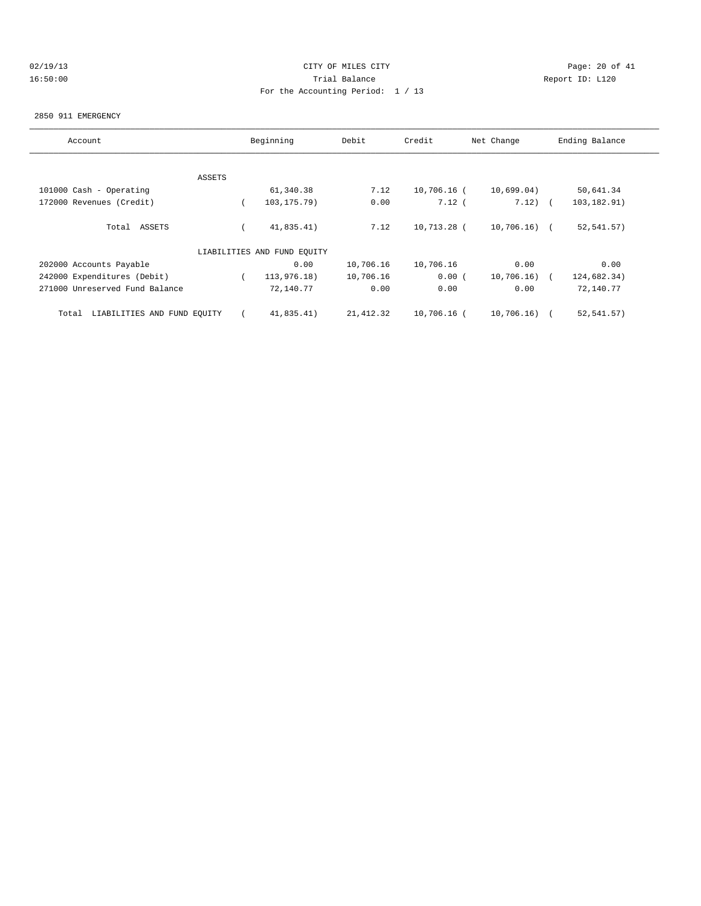# 02/19/13 Page: 20 of 41 16:50:00 Trial Balance Report ID: L120 For the Accounting Period: 1 / 13

#### 2850 911 EMERGENCY

| Account                              |        | Beginning                   | Debit     | Credit      | Net Change    | Ending Balance |
|--------------------------------------|--------|-----------------------------|-----------|-------------|---------------|----------------|
|                                      |        |                             |           |             |               |                |
|                                      | ASSETS |                             |           |             |               |                |
| 101000 Cash - Operating              |        | 61,340.38                   | 7.12      | 10,706.16 ( | 10,699.04)    | 50,641.34      |
| 172000 Revenues (Credit)             |        | 103, 175. 79)               | 0.00      | 7.12(       | $7.12)$ (     | 103,182.91)    |
| Total ASSETS                         |        | 41,835.41)                  | 7.12      | 10,713.28 ( | $10,706.16$ ( | 52, 541.57)    |
|                                      |        | LIABILITIES AND FUND EOUITY |           |             |               |                |
| 202000 Accounts Payable              |        | 0.00                        | 10,706.16 | 10,706.16   | 0.00          | 0.00           |
| 242000 Expenditures (Debit)          |        | 113,976.18)                 | 10,706.16 | 0.00(       | 10,706.16)    | 124,682.34)    |
| 271000 Unreserved Fund Balance       |        | 72,140.77                   | 0.00      | 0.00        | 0.00          | 72,140.77      |
| LIABILITIES AND FUND EQUITY<br>Total |        | 41,835.41)                  | 21,412.32 | 10,706.16 ( | 10,706.16)    | 52,541.57)     |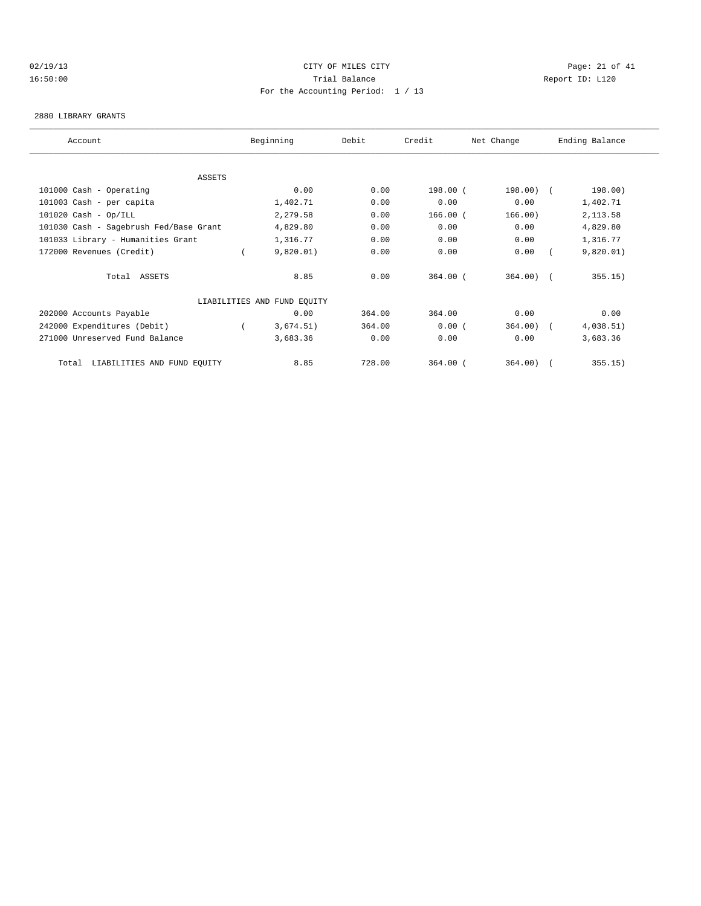#### 02/19/13 Page: 21 of 41 16:50:00 Trial Balance Report ID: L120 For the Accounting Period: 1 / 13

#### 2880 LIBRARY GRANTS

| Account                                | Beginning                   | Debit  | Credit     | Net Change  | Ending Balance |  |
|----------------------------------------|-----------------------------|--------|------------|-------------|----------------|--|
|                                        |                             |        |            |             |                |  |
| ASSETS                                 |                             |        |            |             |                |  |
| 101000 Cash - Operating                | 0.00                        | 0.00   | 198.00 (   | $198.00)$ ( | 198.00)        |  |
| 101003 Cash - per capita               | 1,402.71                    | 0.00   | 0.00       | 0.00        | 1,402.71       |  |
| $101020$ Cash - Op/ILL                 | 2,279.58                    | 0.00   | $166.00$ ( | 166.00)     | 2,113.58       |  |
| 101030 Cash - Sagebrush Fed/Base Grant | 4,829.80                    | 0.00   | 0.00       | 0.00        | 4,829.80       |  |
| 101033 Library - Humanities Grant      | 1,316.77                    | 0.00   | 0.00       | 0.00        | 1,316.77       |  |
| 172000 Revenues (Credit)               | 9,820.01)                   | 0.00   | 0.00       | 0.00        | 9,820.01)      |  |
| Total ASSETS                           | 8.85                        | 0.00   | $364.00$ ( | $364.00$ (  | 355.15)        |  |
|                                        | LIABILITIES AND FUND EQUITY |        |            |             |                |  |
| 202000 Accounts Payable                | 0.00                        | 364.00 | 364.00     | 0.00        | 0.00           |  |
| 242000 Expenditures (Debit)            | 3,674.51)                   | 364.00 | 0.00(      | 364.00)     | 4,038.51)      |  |
| 271000 Unreserved Fund Balance         | 3,683.36                    | 0.00   | 0.00       | 0.00        | 3,683.36       |  |
| LIABILITIES AND FUND EQUITY<br>Total   | 8.85                        | 728.00 | $364.00$ ( | 364.00)     | 355.15)        |  |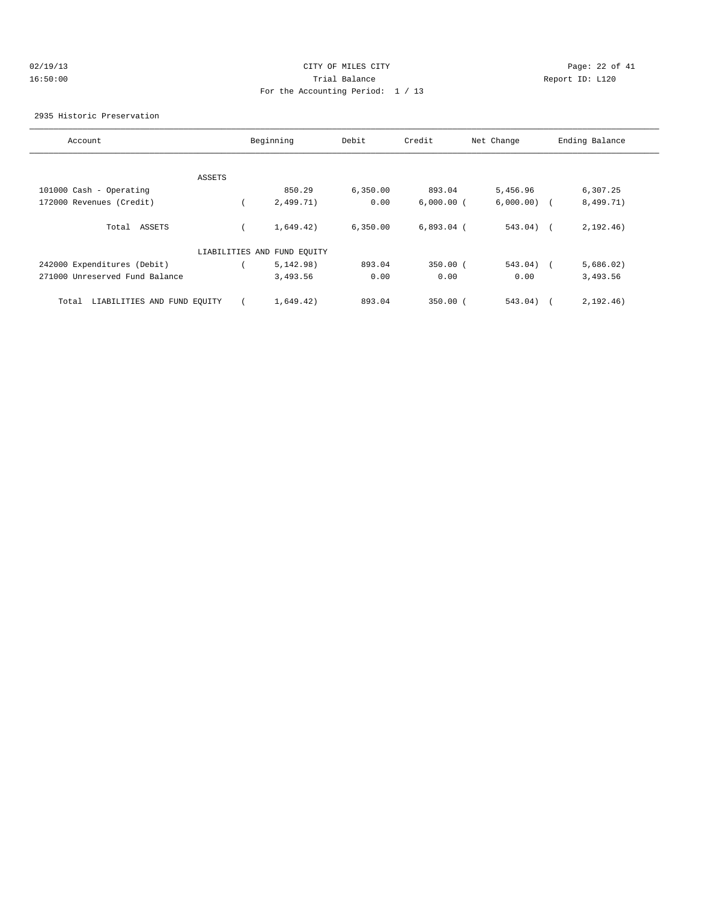| 02/19/13 |  |
|----------|--|
| 16:50:00 |  |

# CITY OF MILES CITY CONTROL CONTROL CONTROL CONTROL CONTROL PAGE: 22 of 41 16:50:00 Trial Balance Report ID: L120 For the Accounting Period: 1 / 13

2935 Historic Preservation

| Account                              | Beginning                   | Debit    | Credit       | Net Change    |            | Ending Balance |
|--------------------------------------|-----------------------------|----------|--------------|---------------|------------|----------------|
|                                      |                             |          |              |               |            |                |
| ASSETS                               |                             |          |              |               |            |                |
| 101000 Cash - Operating              | 850.29                      | 6,350.00 | 893.04       | 5,456.96      |            | 6,307.25       |
| 172000 Revenues (Credit)             | 2,499.71)                   | 0.00     | $6,000.00$ ( | $6,000.00)$ ( |            | 8,499.71)      |
| Total ASSETS                         | 1,649.42)                   | 6,350.00 | $6,893.04$ ( | $543.04)$ (   |            | 2, 192, 46)    |
|                                      | LIABILITIES AND FUND EQUITY |          |              |               |            |                |
| 242000 Expenditures (Debit)          | 5,142.98)                   | 893.04   | $350.00$ (   | 543.04)       | $\sqrt{2}$ | 5,686.02)      |
| 271000 Unreserved Fund Balance       | 3,493.56                    | 0.00     | 0.00         | 0.00          |            | 3,493.56       |
| LIABILITIES AND FUND EQUITY<br>Total | 1,649.42)                   | 893.04   | $350.00$ $($ | 543.04)       |            | 2, 192, 46)    |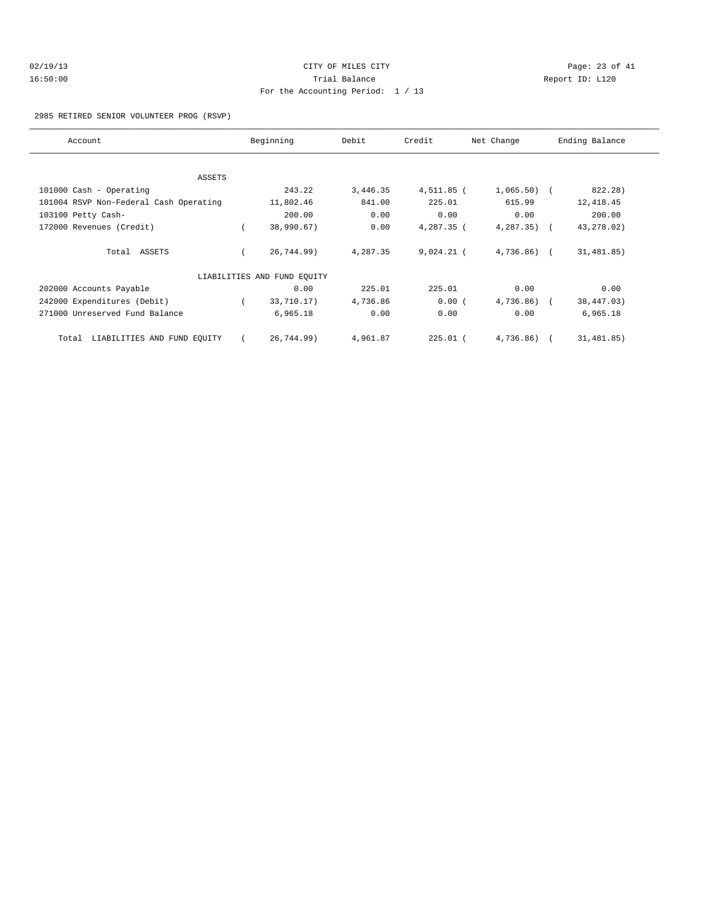| 02/19/13 |  |
|----------|--|
| 16:50:00 |  |

# CITY OF MILES CITY CONTROL CONTROL CONTROL CONTROL CONTROL PAGE: 23 of 41 16:50:00 Trial Balance Report ID: L120 For the Accounting Period: 1 / 13

#### 2985 RETIRED SENIOR VOLUNTEER PROG (RSVP)

| Account                                | Beginning                   | Debit    | Credit       | Net Change     | Ending Balance |
|----------------------------------------|-----------------------------|----------|--------------|----------------|----------------|
|                                        |                             |          |              |                |                |
| ASSETS                                 |                             |          |              |                |                |
| 101000 Cash - Operating                | 243.22                      | 3,446.35 | 4,511.85 (   | $1,065.50$ (   | 822.28)        |
| 101004 RSVP Non-Federal Cash Operating | 11,802.46                   | 841.00   | 225.01       | 615.99         | 12,418.45      |
| 103100 Petty Cash-                     | 200.00                      | 0.00     | 0.00         | 0.00           | 200.00         |
| 172000 Revenues (Credit)               | 38,990.67)                  | 0.00     | 4,287.35 (   | $4,287.35$ (   | 43, 278.02)    |
| Total ASSETS                           | 26,744.99)                  | 4,287.35 | $9,024.21$ ( | $4,736.86$ ) ( | 31,481.85)     |
|                                        | LIABILITIES AND FUND EQUITY |          |              |                |                |
| 202000 Accounts Payable                | 0.00                        | 225.01   | 225.01       | 0.00           | 0.00           |
| 242000 Expenditures (Debit)            | 33,710.17)                  | 4,736.86 | 0.00(        | $4,736.86$ ) ( | 38,447.03)     |
| 271000 Unreserved Fund Balance         | 6,965.18                    | 0.00     | 0.00         | 0.00           | 6,965.18       |
| LIABILITIES AND FUND EQUITY<br>Total   | 26,744.99)                  | 4,961.87 | $225.01$ (   | 4,736.86)      | 31,481.85)     |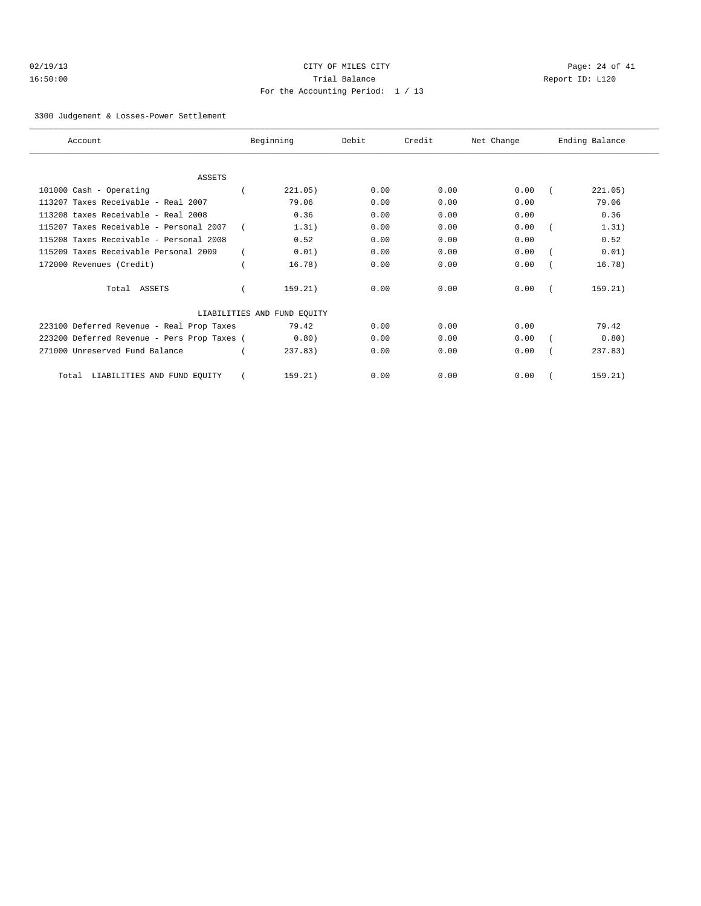# 02/19/13 Page: 24 of 41 16:50:00 Trial Balance Report ID: L120 For the Accounting Period: 1 / 13

#### 3300 Judgement & Losses-Power Settlement

| Account                                     | Beginning                   | Debit | Credit | Net Change | Ending Balance |
|---------------------------------------------|-----------------------------|-------|--------|------------|----------------|
|                                             |                             |       |        |            |                |
| <b>ASSETS</b>                               |                             |       |        |            |                |
| 101000 Cash - Operating                     | 221.05)                     | 0.00  | 0.00   | 0.00       | 221.05)        |
| 113207 Taxes Receivable - Real 2007         | 79.06                       | 0.00  | 0.00   | 0.00       | 79.06          |
| 113208 taxes Receivable - Real 2008         | 0.36                        | 0.00  | 0.00   | 0.00       | 0.36           |
| 115207 Taxes Receivable - Personal 2007     | 1.31)                       | 0.00  | 0.00   | 0.00       | 1.31)          |
| 115208 Taxes Receivable - Personal 2008     | 0.52                        | 0.00  | 0.00   | 0.00       | 0.52           |
| 115209 Taxes Receivable Personal 2009       | 0.01)                       | 0.00  | 0.00   | 0.00       | 0.01)          |
| 172000 Revenues (Credit)                    | 16.78)                      | 0.00  | 0.00   | 0.00       | 16.78)         |
| Total ASSETS                                | 159.21)                     | 0.00  | 0.00   | 0.00       | 159.21)        |
|                                             | LIABILITIES AND FUND EQUITY |       |        |            |                |
| 223100 Deferred Revenue - Real Prop Taxes   | 79.42                       | 0.00  | 0.00   | 0.00       | 79.42          |
| 223200 Deferred Revenue - Pers Prop Taxes ( | 0.80)                       | 0.00  | 0.00   | 0.00       | 0.80)          |
| 271000 Unreserved Fund Balance              | 237.83                      | 0.00  | 0.00   | 0.00       | 237.83         |
| LIABILITIES AND FUND EQUITY<br>Total        | 159.21)                     | 0.00  | 0.00   | 0.00       | 159.21)        |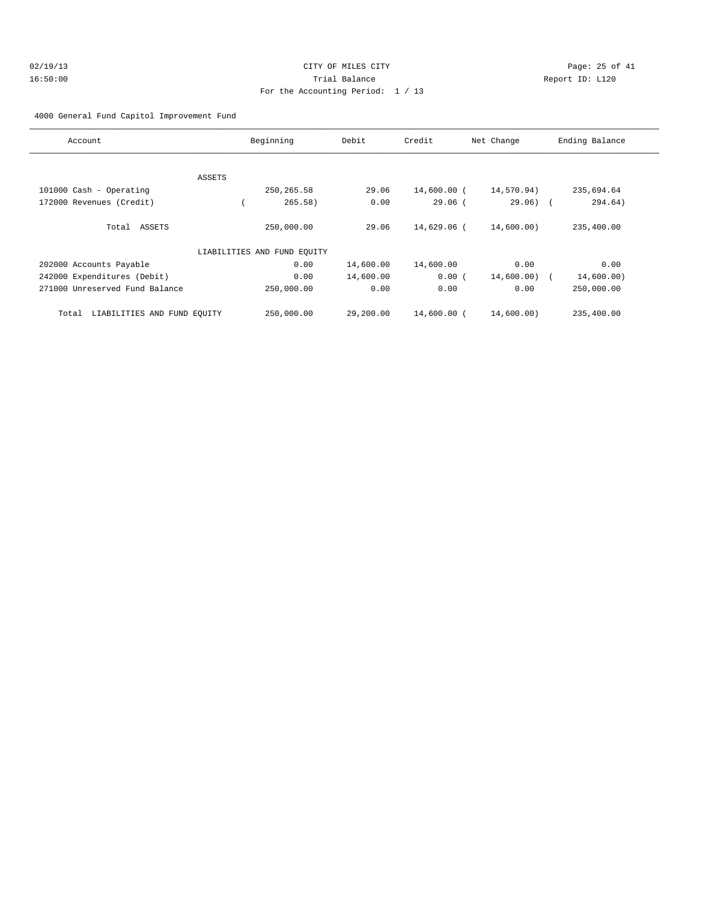# $O2/19/13$  Page: 25 of 41 16:50:00 Trial Balance Report ID: L120 For the Accounting Period: 1 / 13

4000 General Fund Capitol Improvement Fund

| Account                              | Beginning                   | Debit                   | Credit      | Net Change | Ending Balance |
|--------------------------------------|-----------------------------|-------------------------|-------------|------------|----------------|
|                                      |                             |                         |             |            |                |
|                                      | ASSETS                      |                         |             |            |                |
| 101000 Cash - Operating              |                             | 250, 265.58<br>29.06    | 14,600.00 ( | 14,570.94) | 235,694.64     |
| 172000 Revenues (Credit)             |                             | 265.58)<br>0.00         | $29.06$ (   | $29.06)$ ( | 294.64)        |
| Total ASSETS                         |                             | 250,000.00<br>29.06     | 14,629.06 ( | 14,600.00) | 235,400.00     |
|                                      | LIABILITIES AND FUND EQUITY |                         |             |            |                |
| 202000 Accounts Payable              |                             | 0.00<br>14,600.00       | 14,600.00   | 0.00       | 0.00           |
| 242000 Expenditures (Debit)          |                             | 14,600.00<br>0.00       | 0.00(       | 14,600.00) | 14,600.00)     |
| 271000 Unreserved Fund Balance       |                             | 0.00<br>250,000.00      | 0.00        | 0.00       | 250,000.00     |
| LIABILITIES AND FUND EQUITY<br>Total |                             | 250,000.00<br>29,200.00 | 14,600.00 ( | 14,600.00) | 235,400.00     |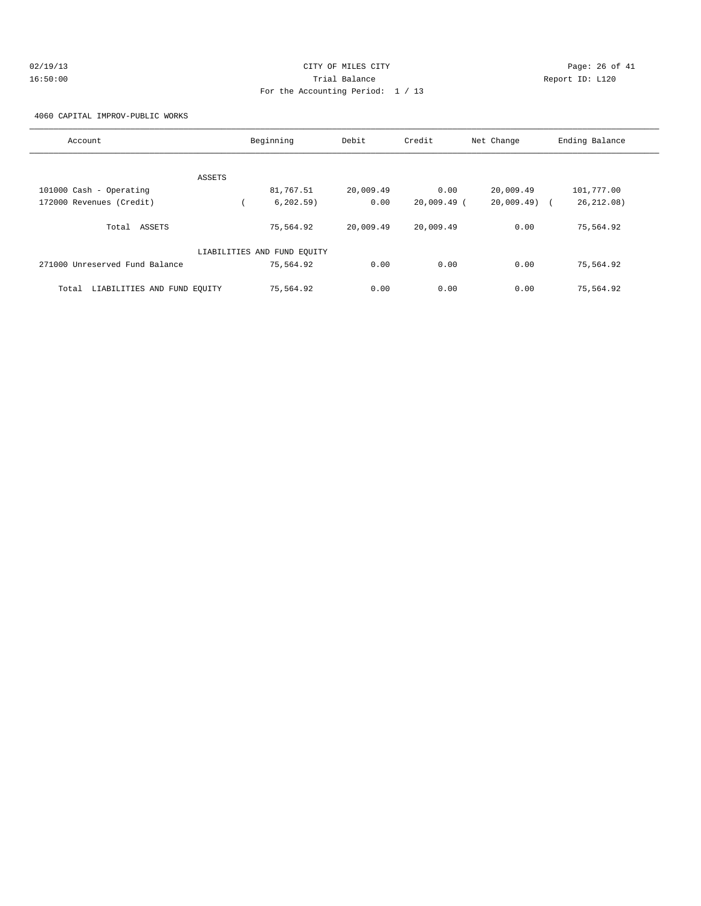| 02/19/13 | CITY OF MILES CITY                | Page: 26 of 41  |
|----------|-----------------------------------|-----------------|
| 16:50:00 | Trial Balance                     | Report ID: L120 |
|          | For the Accounting Period: 1 / 13 |                 |

4060 CAPITAL IMPROV-PUBLIC WORKS

| Account                              |        | Beginning                   | Debit     | Credit        | Net Change   | Ending Balance |
|--------------------------------------|--------|-----------------------------|-----------|---------------|--------------|----------------|
|                                      |        |                             |           |               |              |                |
|                                      | ASSETS |                             |           |               |              |                |
| 101000 Cash - Operating              |        | 81,767.51                   | 20,009.49 | 0.00          | 20,009.49    | 101,777.00     |
| 172000 Revenues (Credit)             |        | 6, 202.59)                  | 0.00      | $20,009.49$ ( | 20,009.49) ( | 26, 212, 08)   |
| Total ASSETS                         |        | 75,564.92                   | 20,009.49 | 20,009.49     | 0.00         | 75,564.92      |
|                                      |        | LIABILITIES AND FUND EQUITY |           |               |              |                |
| 271000 Unreserved Fund Balance       |        | 75,564.92                   | 0.00      | 0.00          | 0.00         | 75,564.92      |
| LIABILITIES AND FUND EQUITY<br>Total |        | 75,564.92                   | 0.00      | 0.00          | 0.00         | 75,564.92      |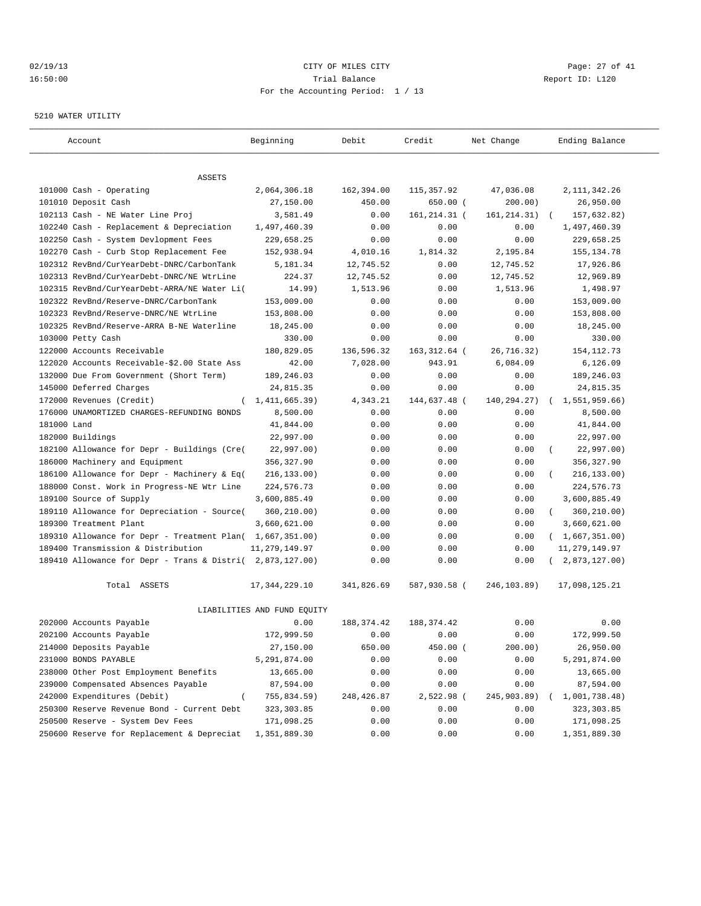#### $CITY$   $CITY$   $CITY$   $CITY$   $PAGE: 27$  of 41 16:50:00 Trial Balance Report ID: L120 For the Accounting Period: 1 / 13

#### 5210 WATER UTILITY

| Account                                                   | Beginning                   | Debit       | Credit        | Net Change    | Ending Balance          |
|-----------------------------------------------------------|-----------------------------|-------------|---------------|---------------|-------------------------|
|                                                           |                             |             |               |               |                         |
| ASSETS                                                    |                             |             |               |               |                         |
| 101000 Cash - Operating                                   | 2,064,306.18                | 162,394.00  | 115, 357.92   | 47,036.08     | 2, 111, 342.26          |
| 101010 Deposit Cash                                       | 27,150.00                   | 450.00      | $650.00$ (    | 200.00)       | 26,950.00               |
| 102113 Cash - NE Water Line Proj                          | 3,581.49                    | 0.00        | 161, 214.31 ( | 161, 214. 31) | 157,632.82)             |
| 102240 Cash - Replacement & Depreciation                  | 1,497,460.39                | 0.00        | 0.00          | 0.00          | 1,497,460.39            |
| 102250 Cash - System Devlopment Fees                      | 229,658.25                  | 0.00        | 0.00          | 0.00          | 229,658.25              |
| 102270 Cash - Curb Stop Replacement Fee                   | 152,938.94                  | 4,010.16    | 1,814.32      | 2,195.84      | 155, 134.78             |
| 102312 RevBnd/CurYearDebt-DNRC/CarbonTank                 | 5,181.34                    | 12,745.52   | 0.00          | 12,745.52     | 17,926.86               |
| 102313 RevBnd/CurYearDebt-DNRC/NE WtrLine                 | 224.37                      | 12,745.52   | 0.00          | 12,745.52     | 12,969.89               |
| 102315 RevBnd/CurYearDebt-ARRA/NE Water Li(               | 14.99)                      | 1,513.96    | 0.00          | 1,513.96      | 1,498.97                |
| 102322 RevBnd/Reserve-DNRC/CarbonTank                     | 153,009.00                  | 0.00        | 0.00          | 0.00          | 153,009.00              |
| 102323 RevBnd/Reserve-DNRC/NE WtrLine                     | 153,808.00                  | 0.00        | 0.00          | 0.00          | 153,808.00              |
| 102325 RevBnd/Reserve-ARRA B-NE Waterline                 | 18,245.00                   | 0.00        | 0.00          | 0.00          | 18,245.00               |
| 103000 Petty Cash                                         | 330.00                      | 0.00        | 0.00          | 0.00          | 330.00                  |
| 122000 Accounts Receivable                                | 180,829.05                  | 136,596.32  | 163, 312.64 ( | 26,716.32)    | 154, 112.73             |
| 122020 Accounts Receivable-\$2.00 State Ass               | 42.00                       | 7,028.00    | 943.91        | 6,084.09      | 6,126.09                |
| 132000 Due From Government (Short Term)                   | 189,246.03                  | 0.00        | 0.00          | 0.00          | 189,246.03              |
| 145000 Deferred Charges                                   | 24,815.35                   | 0.00        | 0.00          | 0.00          | 24,815.35               |
| 172000 Revenues (Credit)<br>- 1                           | 1,411,665.39)               | 4,343.21    | 144,637.48 (  | 140,294.27)   | 1,551,959.66)           |
| 176000 UNAMORTIZED CHARGES-REFUNDING BONDS                | 8,500.00                    | 0.00        | 0.00          | 0.00          | 8,500.00                |
| 181000 Land                                               | 41,844.00                   | 0.00        | 0.00          | 0.00          | 41,844.00               |
| 182000 Buildings                                          | 22,997.00                   | 0.00        | 0.00          | 0.00          | 22,997.00               |
| 182100 Allowance for Depr - Buildings (Cre(               | 22,997.00)                  | 0.00        | 0.00          | 0.00          | 22,997.00)<br>$\left($  |
| 186000 Machinery and Equipment                            | 356,327.90                  | 0.00        | 0.00          | 0.00          | 356, 327.90             |
| 186100 Allowance for Depr - Machinery & Eq(               | 216, 133.00)                | 0.00        | 0.00          | 0.00          | 216, 133.00)            |
| 188000 Const. Work in Progress-NE Wtr Line                | 224,576.73                  | 0.00        | 0.00          | 0.00          | 224,576.73              |
| 189100 Source of Supply                                   | 3,600,885.49                | 0.00        | 0.00          | 0.00          | 3,600,885.49            |
| 189110 Allowance for Depreciation - Source(               | 360,210.00)                 | 0.00        | 0.00          | 0.00          | 360,210.00)<br>$\left($ |
| 189300 Treatment Plant                                    | 3,660,621.00                | 0.00        | 0.00          | 0.00          | 3,660,621.00            |
| 189310 Allowance for Depr - Treatment Plan( 1,667,351.00) |                             | 0.00        | 0.00          | 0.00          | (1,667,351.00)          |
| 189400 Transmission & Distribution                        | 11, 279, 149.97             | 0.00        | 0.00          | 0.00          | 11, 279, 149.97         |
| 189410 Allowance for Depr - Trans & Distri( 2,873,127.00) |                             | 0.00        | 0.00          | 0.00          | 2,873,127.00)           |
| Total ASSETS                                              | 17, 344, 229.10             | 341,826.69  | 587,930.58 (  | 246,103.89)   | 17,098,125.21           |
|                                                           | LIABILITIES AND FUND EQUITY |             |               |               |                         |
| 202000 Accounts Payable                                   | 0.00                        | 188, 374.42 | 188, 374.42   | 0.00          | 0.00                    |
| 202100 Accounts Payable                                   | 172,999.50                  | 0.00        | 0.00          | 0.00          | 172,999.50              |
| 214000 Deposits Payable                                   | 27,150.00                   | 650.00      | 450.00 (      | 200.00)       | 26,950.00               |
| 231000 BONDS PAYABLE                                      | 5,291,874.00                | 0.00        | 0.00          | 0.00          | 5,291,874.00            |
| 238000 Other Post Employment Benefits                     | 13,665.00                   | 0.00        | 0.00          | 0.00          | 13,665.00               |
| 239000 Compensated Absences Payable                       | 87,594.00                   | 0.00        | 0.00          | 0.00          | 87,594.00               |
| 242000 Expenditures (Debit)                               | 755,834.59)                 | 248,426.87  | 2,522.98 (    | 245,903.89)   | 1,001,738.48)           |
| 250300 Reserve Revenue Bond - Current Debt                | 323, 303.85                 | 0.00        | 0.00          | 0.00          | 323,303.85              |
| 250500 Reserve - System Dev Fees                          | 171,098.25                  | 0.00        | 0.00          | 0.00          | 171,098.25              |
| 250600 Reserve for Replacement & Depreciat                | 1,351,889.30                | 0.00        | 0.00          | 0.00          | 1,351,889.30            |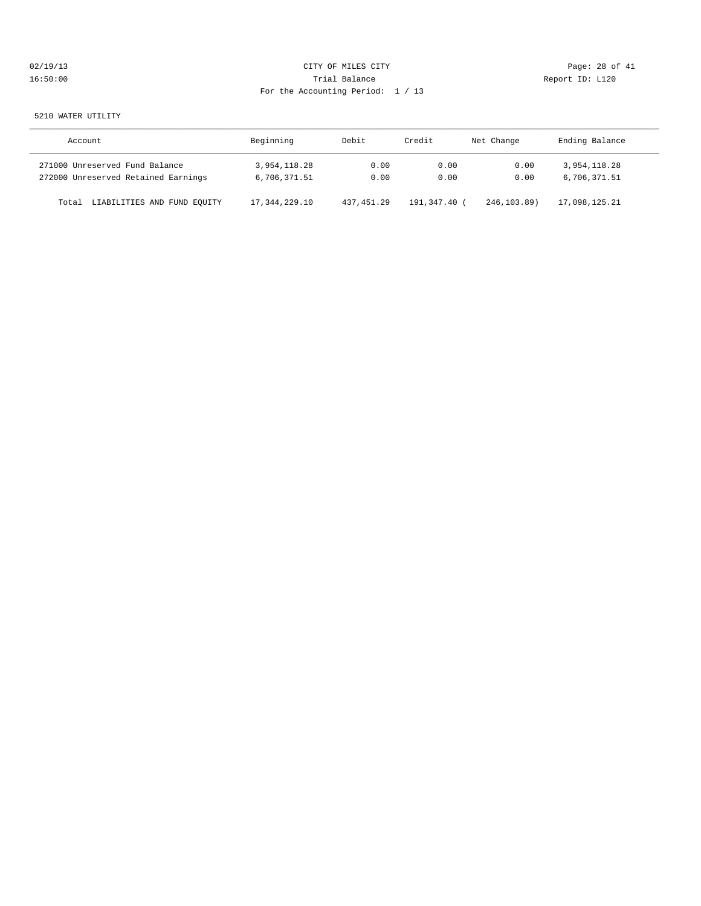| 02/19/13 |  |
|----------|--|
| 16:50:00 |  |

# CITY OF MILES CITY CONTROL CONTROL CONTROL CONTROL CONTROL PAGE: 28 of 41 16:50:00 Trial Balance Report ID: L120 For the Accounting Period: 1 / 13

#### 5210 WATER UTILITY

| Account                              | Beginning       | Debit        | Credit     | Net Change   | Ending Balance |
|--------------------------------------|-----------------|--------------|------------|--------------|----------------|
| 271000 Unreserved Fund Balance       | 3,954,118.28    | 0.00         | 0.00       | 0.00         | 3,954,118.28   |
| 272000 Unreserved Retained Earnings  | 6,706,371.51    | 0.00         | 0.00       | 0.00         | 6,706,371.51   |
| LIABILITIES AND FUND EQUITY<br>Total | 17, 344, 229.10 | 437, 451, 29 | 191,347.40 | 246, 103, 89 | 17,098,125.21  |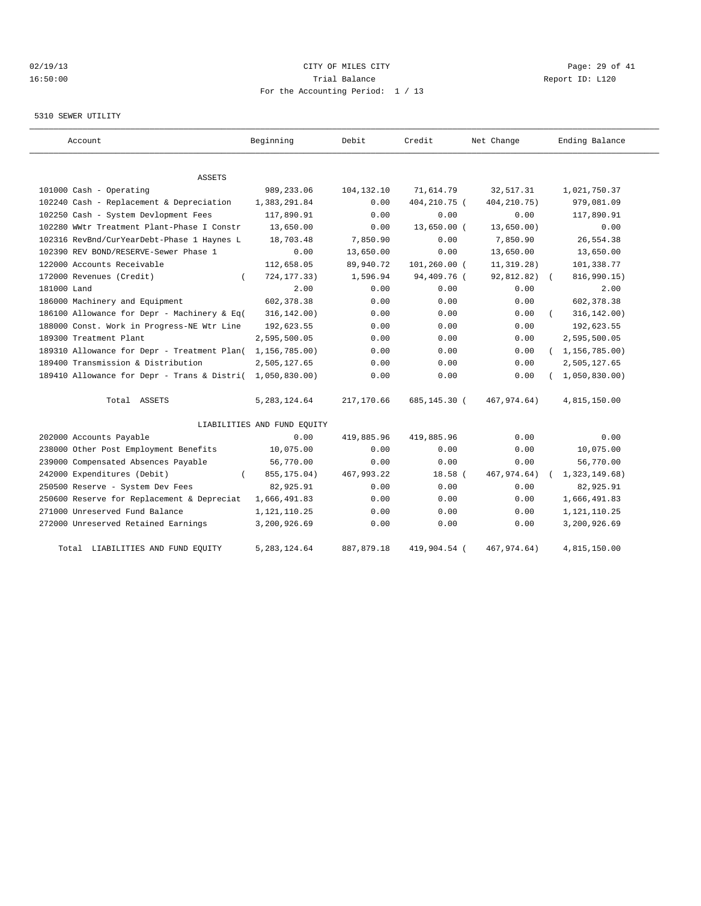# $O(2/19/13$  Page: 29 of 41 16:50:00 Trial Balance Report ID: L120 For the Accounting Period: 1 / 13

#### 5310 SEWER UTILITY

| Account                                     | Beginning                   | Debit      | Credit          | Net Change    | Ending Balance   |
|---------------------------------------------|-----------------------------|------------|-----------------|---------------|------------------|
|                                             |                             |            |                 |               |                  |
| ASSETS                                      |                             |            |                 |               |                  |
| 101000 Cash - Operating                     | 989,233.06                  | 104,132.10 | 71,614.79       | 32,517.31     | 1,021,750.37     |
| 102240 Cash - Replacement & Depreciation    | 1,383,291.84                | 0.00       | 404,210.75 (    | 404, 210. 75) | 979,081.09       |
| 102250 Cash - System Devlopment Fees        | 117,890.91                  | 0.00       | 0.00            | 0.00          | 117,890.91       |
| 102280 WWtr Treatment Plant-Phase I Constr  | 13,650.00                   | 0.00       | 13,650.00 (     | 13,650.00)    | 0.00             |
| 102316 RevBnd/CurYearDebt-Phase 1 Haynes L  | 18,703.48                   | 7,850.90   | 0.00            | 7,850.90      | 26,554.38        |
| 102390 REV BOND/RESERVE-Sewer Phase 1       | 0.00                        | 13,650.00  | 0.00            | 13,650.00     | 13,650.00        |
| 122000 Accounts Receivable                  | 112,658.05                  | 89,940.72  | $101, 260.00$ ( | 11, 319.28)   | 101,338.77       |
| 172000 Revenues (Credit)<br>$\left($        | 724, 177. 33)               | 1,596.94   | 94,409.76 (     | 92,812.82)    | 816,990.15)      |
| 181000 Land                                 | 2.00                        | 0.00       | 0.00            | 0.00          | 2.00             |
| 186000 Machinery and Equipment              | 602, 378.38                 | 0.00       | 0.00            | 0.00          | 602,378.38       |
| 186100 Allowance for Depr - Machinery & Eq( | 316, 142.00)                | 0.00       | 0.00            | 0.00          | 316, 142.00)     |
| 188000 Const. Work in Progress-NE Wtr Line  | 192,623.55                  | 0.00       | 0.00            | 0.00          | 192,623.55       |
| 189300 Treatment Plant                      | 2,595,500.05                | 0.00       | 0.00            | 0.00          | 2,595,500.05     |
| 189310 Allowance for Depr - Treatment Plan( | 1,156,785.00)               | 0.00       | 0.00            | 0.00          | (1, 156, 785.00) |
| 189400 Transmission & Distribution          | 2,505,127.65                | 0.00       | 0.00            | 0.00          | 2,505,127.65     |
| 189410 Allowance for Depr - Trans & Distri( | 1,050,830.00)               | 0.00       | 0.00            | 0.00          | 1,050,830.00     |
| Total ASSETS                                | 5, 283, 124.64              | 217,170.66 | 685,145.30 (    | 467,974.64)   | 4,815,150.00     |
|                                             | LIABILITIES AND FUND EQUITY |            |                 |               |                  |
| 202000 Accounts Payable                     | 0.00                        | 419,885.96 | 419,885.96      | 0.00          | 0.00             |
| 238000 Other Post Employment Benefits       | 10,075.00                   | 0.00       | 0.00            | 0.00          | 10,075.00        |
| 239000 Compensated Absences Payable         | 56,770.00                   | 0.00       | 0.00            | 0.00          | 56,770.00        |
| 242000 Expenditures (Debit)                 | 855, 175.04)                | 467,993.22 | $18.58$ (       | 467, 974.64)  | 1,323,149.68)    |
| 250500 Reserve - System Dev Fees            | 82,925.91                   | 0.00       | 0.00            | 0.00          | 82,925.91        |
| 250600 Reserve for Replacement & Depreciat  | 1,666,491.83                | 0.00       | 0.00            | 0.00          | 1,666,491.83     |
| 271000 Unreserved Fund Balance              | 1,121,110.25                | 0.00       | 0.00            | 0.00          | 1, 121, 110. 25  |
| 272000 Unreserved Retained Earnings         | 3,200,926.69                | 0.00       | 0.00            | 0.00          | 3,200,926.69     |
| LIABILITIES AND FUND EQUITY<br>Total        | 5, 283, 124.64              | 887,879.18 | 419,904.54 (    | 467, 974. 64) | 4,815,150.00     |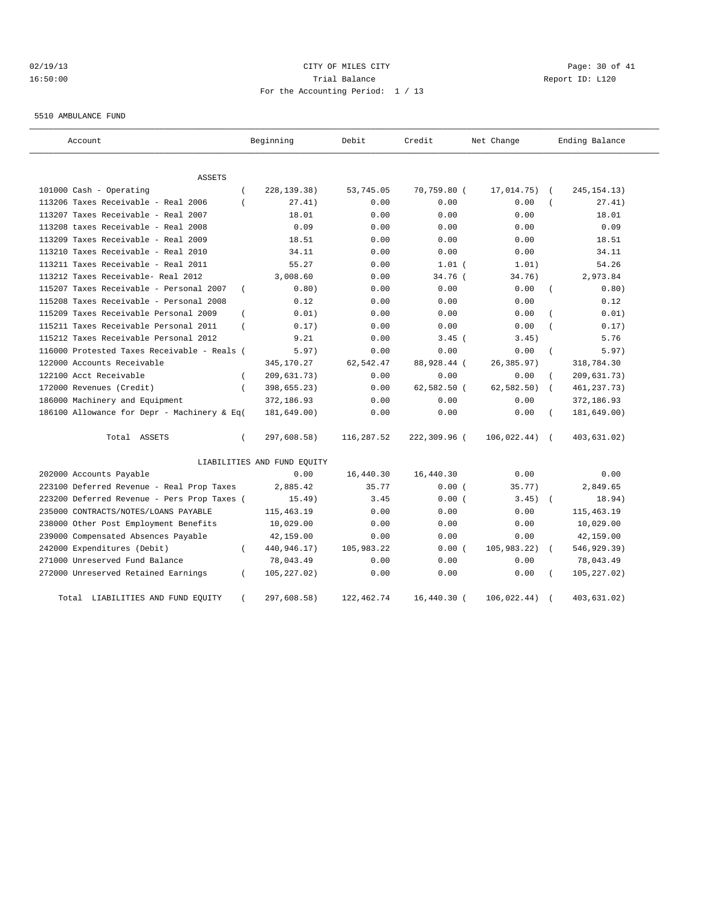# 02/19/13 Page: 30 of 41 16:50:00 Trial Balance Report ID: L120 For the Accounting Period: 1 / 13

5510 AMBULANCE FUND

| Account                                     |                | Beginning                   | Debit        | Credit       | Net Change  |            | Ending Balance |
|---------------------------------------------|----------------|-----------------------------|--------------|--------------|-------------|------------|----------------|
| ASSETS                                      |                |                             |              |              |             |            |                |
| 101000 Cash - Operating                     |                | 228, 139. 38)               | 53,745.05    | 70,759.80 (  | 17,014.75)  |            | 245, 154. 13)  |
| 113206 Taxes Receivable - Real 2006         |                | 27.41)                      | 0.00         | 0.00         | 0.00        |            | 27.41)         |
| 113207 Taxes Receivable - Real 2007         |                | 18.01                       | 0.00         | 0.00         | 0.00        |            | 18.01          |
| 113208 taxes Receivable - Real 2008         |                | 0.09                        | 0.00         | 0.00         | 0.00        |            | 0.09           |
| 113209 Taxes Receivable - Real 2009         |                | 18.51                       | 0.00         | 0.00         | 0.00        |            | 18.51          |
| 113210 Taxes Receivable - Real 2010         |                | 34.11                       | 0.00         | 0.00         | 0.00        |            | 34.11          |
| 113211 Taxes Receivable - Real 2011         |                | 55.27                       | 0.00         | $1.01$ (     | 1.01)       |            | 54.26          |
| 113212 Taxes Receivable- Real 2012          |                | 3,008.60                    | 0.00         | 34.76 (      | 34.76)      |            | 2,973.84       |
| 115207 Taxes Receivable - Personal 2007     | $\overline{ }$ | 0.80)                       | 0.00         | 0.00         | 0.00        |            | 0.80)          |
| 115208 Taxes Receivable - Personal 2008     |                | 0.12                        | 0.00         | 0.00         | 0.00        |            | 0.12           |
| 115209 Taxes Receivable Personal 2009       |                | 0.01)                       | 0.00         | 0.00         | 0.00        |            | 0.01)          |
| 115211 Taxes Receivable Personal 2011       |                | 0.17)                       | 0.00         | 0.00         | 0.00        |            | 0.17)          |
| 115212 Taxes Receivable Personal 2012       |                | 9.21                        | 0.00         | $3.45$ (     | 3.45)       |            | 5.76           |
| 116000 Protested Taxes Receivable - Reals ( |                | 5.97)                       | 0.00         | 0.00         | 0.00        |            | 5.97)          |
| 122000 Accounts Receivable                  |                | 345,170.27                  | 62,542.47    | 88,928.44 (  | 26,385.97)  |            | 318,784.30     |
| 122100 Acct Receivable                      |                | 209,631.73)                 | 0.00         | 0.00         | 0.00        |            | 209,631.73)    |
| 172000 Revenues (Credit)                    | $\overline{ }$ | 398,655.23)                 | 0.00         | 62,582.50 (  | 62, 582.50) |            | 461, 237. 73)  |
| 186000 Machinery and Equipment              |                | 372,186.93                  | 0.00         | 0.00         | 0.00        |            | 372,186.93     |
| 186100 Allowance for Depr - Machinery & Eq( |                | 181,649.00)                 | 0.00         | 0.00         | 0.00        |            | 181,649.00)    |
| Total ASSETS                                | $\left($       | 297,608.58)                 | 116,287.52   | 222,309.96 ( | 106,022.44) | $\sqrt{2}$ | 403,631.02)    |
|                                             |                | LIABILITIES AND FUND EQUITY |              |              |             |            |                |
| 202000 Accounts Payable                     |                | 0.00                        | 16,440.30    | 16,440.30    | 0.00        |            | 0.00           |
| 223100 Deferred Revenue - Real Prop Taxes   |                | 2,885.42                    | 35.77        | 0.00(        | 35.77)      |            | 2,849.65       |
| 223200 Deferred Revenue - Pers Prop Taxes ( |                | 15.49)                      | 3.45         | 0.00(        | 3.45)       |            | 18.94)         |
| 235000 CONTRACTS/NOTES/LOANS PAYABLE        |                | 115, 463. 19                | 0.00         | 0.00         | 0.00        |            | 115, 463.19    |
| 238000 Other Post Employment Benefits       |                | 10,029.00                   | 0.00         | 0.00         | 0.00        |            | 10,029.00      |
| 239000 Compensated Absences Payable         |                | 42,159.00                   | 0.00         | 0.00         | 0.00        |            | 42,159.00      |
| 242000 Expenditures (Debit)                 |                | 440,946.17)                 | 105,983.22   | 0.00(        | 105,983.22) |            | 546,929.39)    |
| 271000 Unreserved Fund Balance              |                | 78,043.49                   | 0.00         | 0.00         | 0.00        |            | 78,043.49      |
| 272000 Unreserved Retained Earnings         | $\left($       | 105, 227.02)                | 0.00         | 0.00         | 0.00        |            | 105, 227.02)   |
| LIABILITIES AND FUND EQUITY<br>Total        |                | 297,608.58)                 | 122, 462. 74 | 16,440.30 (  | 106,022.44) |            | 403,631.02)    |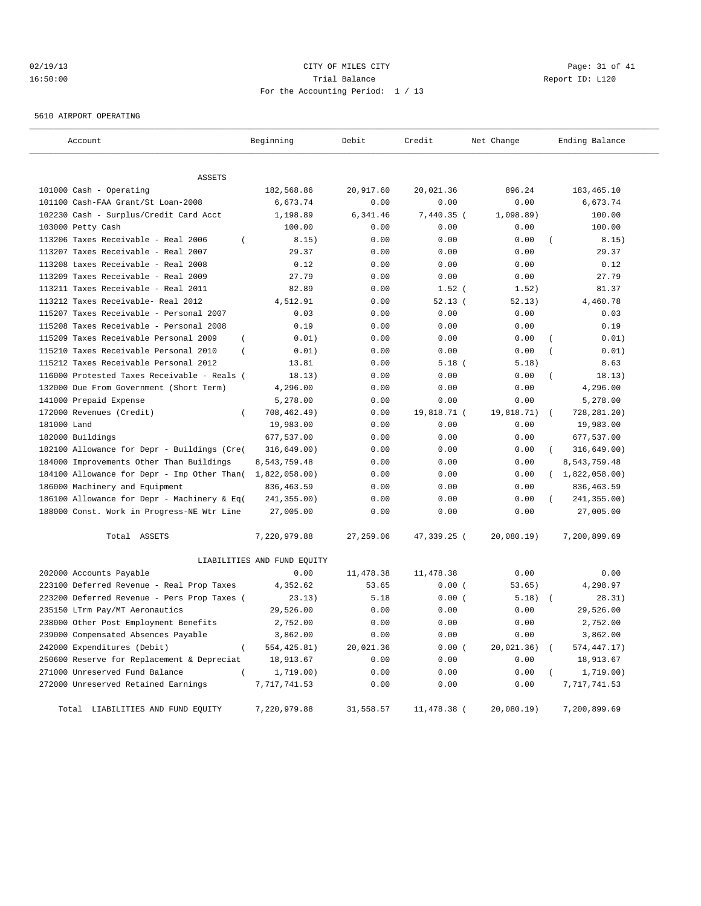# 02/19/13 Page: 31 of 41 16:50:00 Trial Balance Report ID: L120 For the Accounting Period: 1 / 13

5610 AIRPORT OPERATING

| Account                                                                    | Beginning                   | Debit        | Credit       | Net Change    | Ending Balance                 |
|----------------------------------------------------------------------------|-----------------------------|--------------|--------------|---------------|--------------------------------|
|                                                                            |                             |              |              |               |                                |
| <b>ASSETS</b>                                                              |                             |              |              |               |                                |
| 101000 Cash - Operating                                                    | 182,568.86                  | 20,917.60    | 20,021.36    | 896.24        | 183, 465.10                    |
| 101100 Cash-FAA Grant/St Loan-2008                                         | 6,673.74                    | 0.00         | 0.00         | 0.00          | 6,673.74                       |
| 102230 Cash - Surplus/Credit Card Acct                                     | 1,198.89                    | 6,341.46     | $7,440.35$ ( | 1,098.89)     | 100.00                         |
| 103000 Petty Cash                                                          | 100.00                      | 0.00         | 0.00         | 0.00          | 100.00                         |
| 113206 Taxes Receivable - Real 2006<br>$\overline{(\ }$                    | 8.15)                       | 0.00         | 0.00         | 0.00          | 8.15)                          |
| 113207 Taxes Receivable - Real 2007                                        | 29.37                       | 0.00         | 0.00         | 0.00          | 29.37                          |
| 113208 taxes Receivable - Real 2008<br>113209 Taxes Receivable - Real 2009 | 0.12<br>27.79               | 0.00<br>0.00 | 0.00<br>0.00 | 0.00<br>0.00  | 0.12<br>27.79                  |
| 113211 Taxes Receivable - Real 2011                                        | 82.89                       | 0.00         | $1.52$ (     | 1.52)         | 81.37                          |
| 113212 Taxes Receivable- Real 2012                                         | 4,512.91                    | 0.00         | 52.13(       | 52.13)        | 4,460.78                       |
| 115207 Taxes Receivable - Personal 2007                                    | 0.03                        | 0.00         | 0.00         | 0.00          | 0.03                           |
| 115208 Taxes Receivable - Personal 2008                                    | 0.19                        | 0.00         | 0.00         | 0.00          | 0.19                           |
| 115209 Taxes Receivable Personal 2009<br>$\overline{ }$                    | 0.01)                       | 0.00         | 0.00         | 0.00          | 0.01)<br>$\overline{ }$        |
| 115210 Taxes Receivable Personal 2010<br>$\left($                          | 0.01)                       | 0.00         | 0.00         | 0.00          | 0.01)                          |
| 115212 Taxes Receivable Personal 2012                                      | 13.81                       | 0.00         | 5.18(        | 5.18)         | 8.63                           |
| 116000 Protested Taxes Receivable - Reals (                                | 18.13)                      | 0.00         | 0.00         | 0.00          | $\overline{(\cdot)}$<br>18.13) |
| 132000 Due From Government (Short Term)                                    | 4,296.00                    | 0.00         | 0.00         | 0.00          | 4,296.00                       |
| 141000 Prepaid Expense                                                     | 5,278.00                    | 0.00         | 0.00         | 0.00          | 5,278.00                       |
| 172000 Revenues (Credit)<br>$\left($                                       | 708,462.49)                 | 0.00         | 19,818.71 (  | 19,818.71)    | 728, 281. 20)<br>$\sqrt{ }$    |
| 181000 Land                                                                | 19,983.00                   | 0.00         | 0.00         | 0.00          | 19,983.00                      |
| 182000 Buildings                                                           | 677,537.00                  | 0.00         | 0.00         | 0.00          | 677,537.00                     |
| 182100 Allowance for Depr - Buildings (Cre(                                | 316,649.00)                 | 0.00         | 0.00         | 0.00          | 316,649.00)                    |
| 184000 Improvements Other Than Buildings                                   | 8,543,759.48                | 0.00         | 0.00         | 0.00          | 8,543,759.48                   |
| 184100 Allowance for Depr - Imp Other Than(                                | 1,822,058.00)               | 0.00         | 0.00         | 0.00          | (1,822,058.00)                 |
| 186000 Machinery and Equipment                                             | 836, 463.59                 | 0.00         | 0.00         | 0.00          | 836, 463.59                    |
| 186100 Allowance for Depr - Machinery & Eq(                                | 241,355.00)                 | 0.00         | 0.00         | 0.00          | 241,355.00)                    |
| 188000 Const. Work in Progress-NE Wtr Line                                 | 27,005.00                   | 0.00         | 0.00         | 0.00          | 27,005.00                      |
|                                                                            |                             |              |              |               |                                |
| Total ASSETS                                                               | 7,220,979.88                | 27, 259.06   | 47,339.25 (  | 20,080.19     | 7,200,899.69                   |
|                                                                            | LIABILITIES AND FUND EQUITY |              |              |               |                                |
| 202000 Accounts Payable                                                    | 0.00                        | 11,478.38    | 11,478.38    | 0.00          | 0.00                           |
| 223100 Deferred Revenue - Real Prop Taxes                                  | 4,352.62                    | 53.65        | 0.00(        | 53.65)        | 4,298.97                       |
| 223200 Deferred Revenue - Pers Prop Taxes (                                | 23.13)                      | 5.18         | 0.00(        | 5.18)         | 28.31)                         |
| 235150 LTrm Pay/MT Aeronautics                                             | 29,526.00                   | 0.00         | 0.00         | 0.00          | 29,526.00                      |
| 238000 Other Post Employment Benefits                                      | 2,752.00                    | 0.00         | 0.00         | 0.00          | 2,752.00                       |
| 239000 Compensated Absences Payable                                        | 3,862.00                    | 0.00         | 0.00         | 0.00          | 3,862.00                       |
| 242000 Expenditures (Debit)<br>$\overline{ }$                              | 554, 425.81)                | 20,021.36    | 0.00(        | 20,021.36)    | 574, 447. 17)                  |
| 250600 Reserve for Replacement & Depreciat                                 | 18,913.67                   | 0.00         | 0.00         | 0.00          | 18,913.67                      |
| 271000 Unreserved Fund Balance                                             | 1,719.00)                   | 0.00         | 0.00         | 0.00          | 1,719.00)                      |
| 272000 Unreserved Retained Earnings                                        | 7,717,741.53                | 0.00         | 0.00         | 0.00          | 7,717,741.53                   |
| Total LIABILITIES AND FUND EQUITY                                          | 7,220,979.88                | 31,558.57    | 11,478.38 (  | $20,080.19$ ) | 7,200,899.69                   |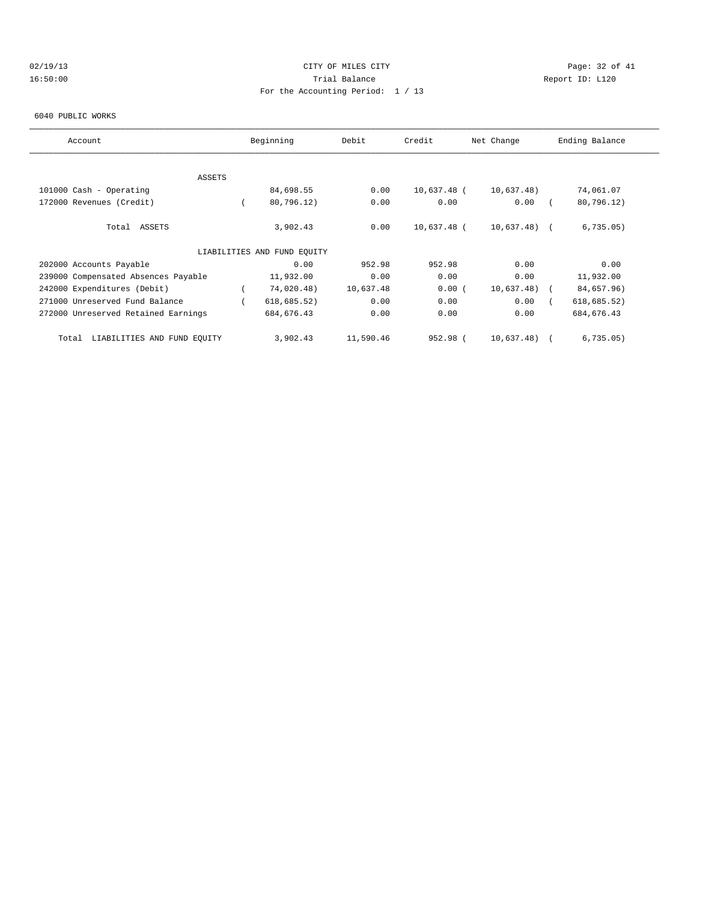# 02/19/13 Page: 32 of 41 16:50:00 Trial Balance Report ID: L120 For the Accounting Period: 1 / 13

#### 6040 PUBLIC WORKS

| Account                              |  | Beginning                   | Debit     | Credit<br>Net Change |               | Ending Balance |              |
|--------------------------------------|--|-----------------------------|-----------|----------------------|---------------|----------------|--------------|
|                                      |  |                             |           |                      |               |                |              |
| ASSETS                               |  |                             |           |                      |               |                |              |
| 101000 Cash - Operating              |  | 84,698.55                   | 0.00      | 10,637.48 (          | 10,637.48)    |                | 74,061.07    |
| 172000 Revenues (Credit)             |  | 80,796.12)                  | 0.00      | 0.00                 | 0.00          |                | 80,796.12)   |
| Total ASSETS                         |  | 3,902.43                    | 0.00      | 10,637.48 (          | $10,637.48$ ( |                | 6,735.05)    |
|                                      |  | LIABILITIES AND FUND EOUITY |           |                      |               |                |              |
| 202000 Accounts Payable              |  | 0.00                        | 952.98    | 952.98               | 0.00          |                | 0.00         |
| 239000 Compensated Absences Payable  |  | 11,932.00                   | 0.00      | 0.00                 | 0.00          |                | 11,932.00    |
| 242000 Expenditures (Debit)          |  | 74,020.48)                  | 10,637.48 | 0.00(                | 10,637.48)    |                | 84,657.96)   |
| 271000 Unreserved Fund Balance       |  | 618, 685.52)                | 0.00      | 0.00                 | 0.00          |                | 618, 685.52) |
| 272000 Unreserved Retained Earnings  |  | 684, 676.43                 | 0.00      | 0.00                 | 0.00          |                | 684, 676.43  |
| LIABILITIES AND FUND EQUITY<br>Total |  | 3,902.43                    | 11,590.46 | 952.98 (             | 10,637.48)    |                | 6,735.05)    |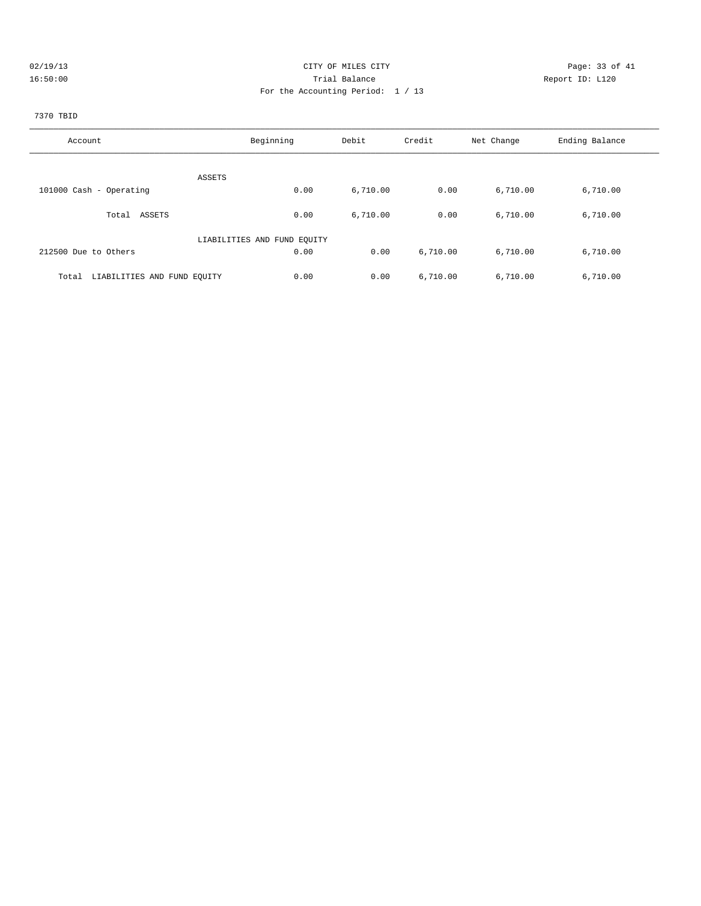| 02/19/13 |  |
|----------|--|
| 16.50:00 |  |

# CITY OF MILES CITY CONTROL CONTROL CONTROL CONTROL CONTROL PAGE: 33 of 41 16:50:00 Report ID: L120 For the Accounting Period: 1 / 13

# 7370 TBID

| Account                              | Beginning                   | Debit    | Credit   | Net Change | Ending Balance |
|--------------------------------------|-----------------------------|----------|----------|------------|----------------|
|                                      |                             |          |          |            |                |
|                                      | ASSETS                      |          |          |            |                |
| 101000 Cash - Operating              | 0.00                        | 6,710.00 | 0.00     | 6,710.00   | 6,710.00       |
| Total ASSETS                         | 0.00                        | 6,710.00 | 0.00     | 6,710.00   | 6,710.00       |
|                                      | LIABILITIES AND FUND EOUITY |          |          |            |                |
| 212500 Due to Others                 | 0.00                        | 0.00     | 6,710.00 | 6,710.00   | 6,710.00       |
| LIABILITIES AND FUND EQUITY<br>Total | 0.00                        | 0.00     | 6,710.00 | 6,710.00   | 6,710.00       |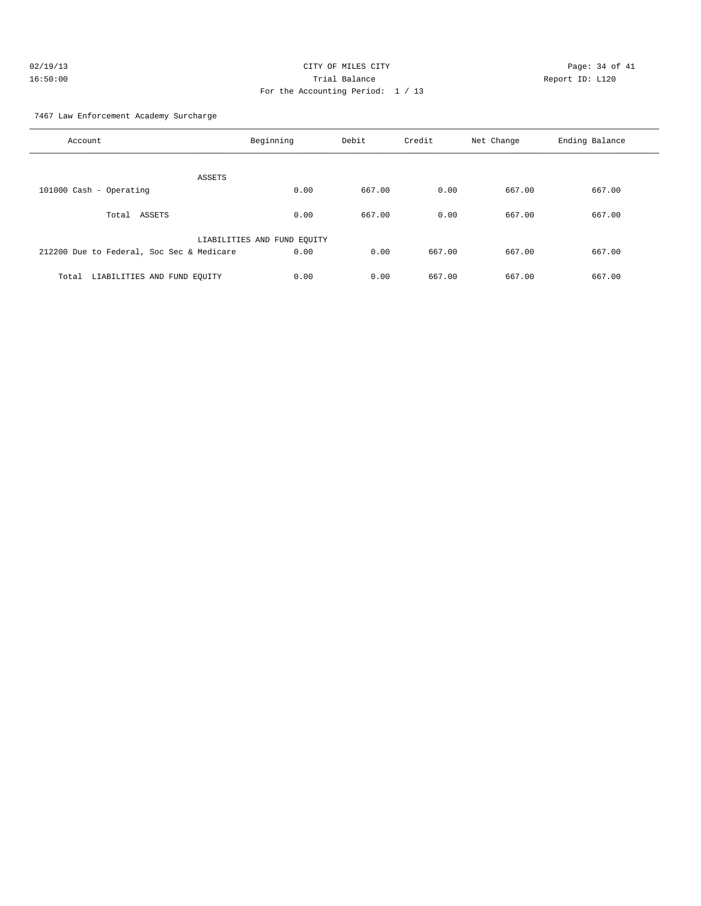| 02/19/13 | CITY OF MILES CITY                | Page: $34o$     |
|----------|-----------------------------------|-----------------|
| 16:50:00 | Trial Balance                     | Report ID: L120 |
|          | For the Accounting Period: 1 / 13 |                 |

Page: 34 of 41

7467 Law Enforcement Academy Surcharge

| Account                                   | Beginning                   | Debit  | Credit | Net Change | Ending Balance |
|-------------------------------------------|-----------------------------|--------|--------|------------|----------------|
| ASSETS                                    |                             |        |        |            |                |
| 101000 Cash - Operating                   | 0.00                        | 667.00 | 0.00   | 667.00     | 667.00         |
| ASSETS<br>Total                           | 0.00                        | 667.00 | 0.00   | 667.00     | 667.00         |
|                                           | LIABILITIES AND FUND EQUITY |        |        |            |                |
| 212200 Due to Federal, Soc Sec & Medicare | 0.00                        | 0.00   | 667.00 | 667.00     | 667.00         |
| LIABILITIES AND FUND EQUITY<br>Total      | 0.00                        | 0.00   | 667.00 | 667.00     | 667.00         |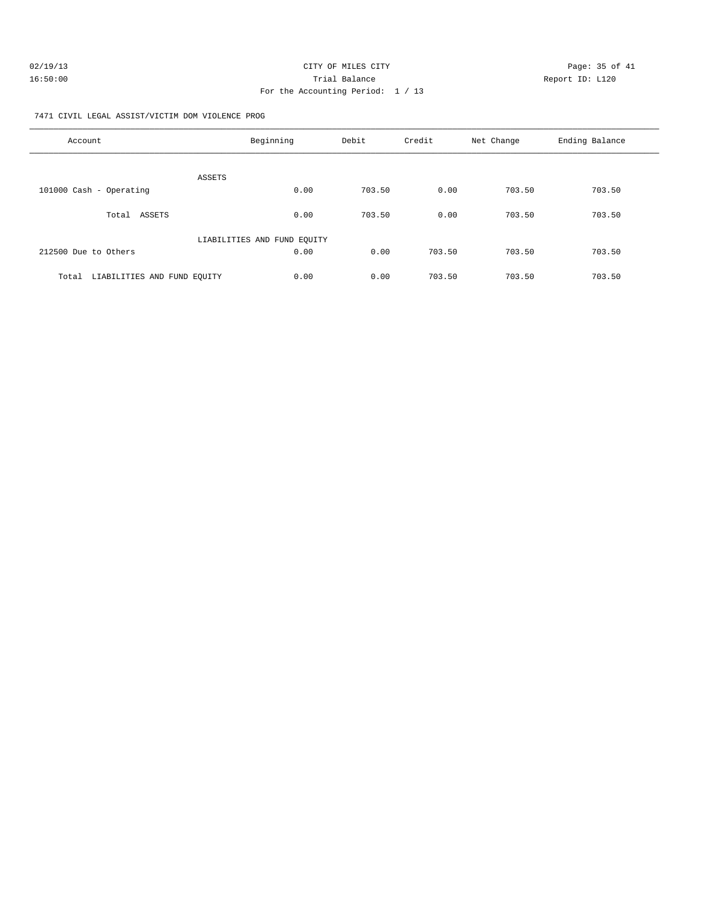| 02/19/13 | CITY OF MILES CITY                | Page: 35 of 41  |
|----------|-----------------------------------|-----------------|
| 16:50:00 | Trial Balance                     | Report ID: L120 |
|          | For the Accounting Period: 1 / 13 |                 |

7471 CIVIL LEGAL ASSIST/VICTIM DOM VIOLENCE PROG

| Account                              | Beginning                   | Debit  | Credit | Net Change | Ending Balance |
|--------------------------------------|-----------------------------|--------|--------|------------|----------------|
| <b>ASSETS</b>                        |                             |        |        |            |                |
| 101000 Cash - Operating              | 0.00                        | 703.50 | 0.00   | 703.50     | 703.50         |
| ASSETS<br>Total                      | 0.00                        | 703.50 | 0.00   | 703.50     | 703.50         |
|                                      | LIABILITIES AND FUND EQUITY |        |        |            |                |
| 212500 Due to Others                 | 0.00                        | 0.00   | 703.50 | 703.50     | 703.50         |
| LIABILITIES AND FUND EQUITY<br>Total | 0.00                        | 0.00   | 703.50 | 703.50     | 703.50         |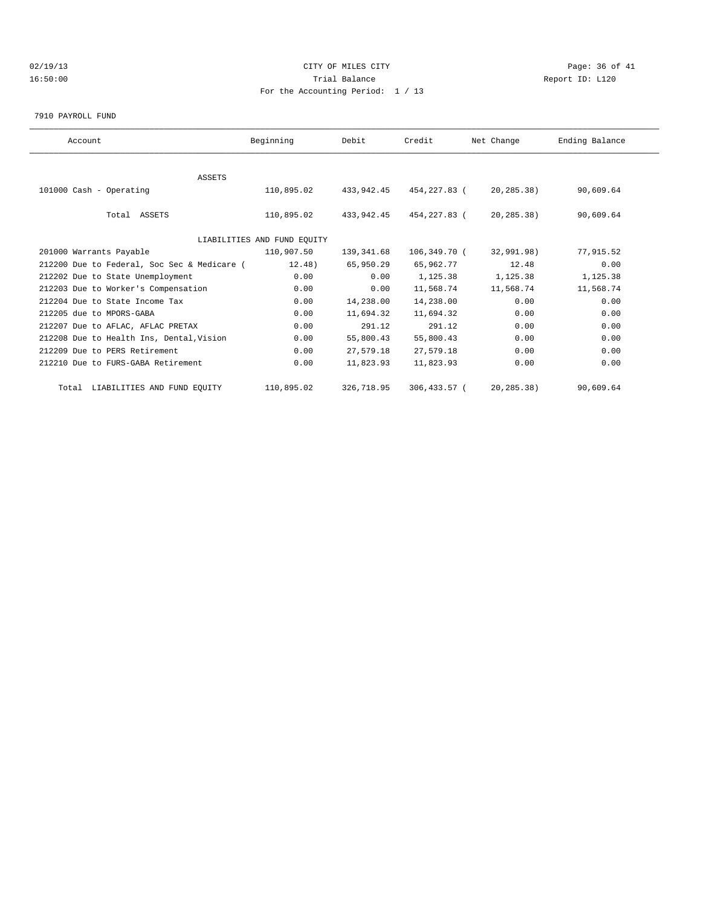# $O(19/13$  Page: 36 of 41 16:50:00 Trial Balance Report ID: L120 For the Accounting Period: 1 / 13

7910 PAYROLL FUND

| Account                                     | Beginning                   | Debit      | Credit       | Net Change | Ending Balance |  |
|---------------------------------------------|-----------------------------|------------|--------------|------------|----------------|--|
|                                             |                             |            |              |            |                |  |
| ASSETS                                      |                             |            |              |            |                |  |
| 101000 Cash - Operating                     | 110,895.02                  | 433,942.45 | 454,227.83 ( | 20,285.38) | 90,609.64      |  |
|                                             |                             |            |              |            |                |  |
| Total ASSETS                                | 110,895.02                  | 433,942.45 | 454,227.83 ( | 20,285.38) | 90,609.64      |  |
|                                             |                             |            |              |            |                |  |
|                                             | LIABILITIES AND FUND EQUITY |            |              |            |                |  |
| 201000 Warrants Payable                     | 110,907.50                  | 139,341.68 | 106,349.70 ( | 32,991.98) | 77,915.52      |  |
| 212200 Due to Federal, Soc Sec & Medicare ( | 12.48)                      | 65,950.29  | 65,962.77    | 12.48      | 0.00           |  |
| 212202 Due to State Unemployment            | 0.00                        | 0.00       | 1,125.38     | 1,125.38   | 1,125.38       |  |
| 212203 Due to Worker's Compensation         | 0.00                        | 0.00       | 11,568.74    | 11,568.74  | 11,568.74      |  |
| 212204 Due to State Income Tax              | 0.00                        | 14,238.00  | 14,238.00    | 0.00       | 0.00           |  |
| 212205 due to MPORS-GABA                    | 0.00                        | 11,694.32  | 11,694.32    | 0.00       | 0.00           |  |
| 212207 Due to AFLAC, AFLAC PRETAX           | 0.00                        | 291.12     | 291.12       | 0.00       | 0.00           |  |
| 212208 Due to Health Ins, Dental, Vision    | 0.00                        | 55,800.43  | 55,800.43    | 0.00       | 0.00           |  |
| 212209 Due to PERS Retirement               | 0.00                        | 27,579.18  | 27,579.18    | 0.00       | 0.00           |  |
| 212210 Due to FURS-GABA Retirement          | 0.00                        | 11,823.93  | 11,823.93    | 0.00       | 0.00           |  |
| Total LIABILITIES AND FUND EQUITY           | 110,895.02                  | 326,718.95 | 306,433.57 ( | 20,285.38) | 90,609.64      |  |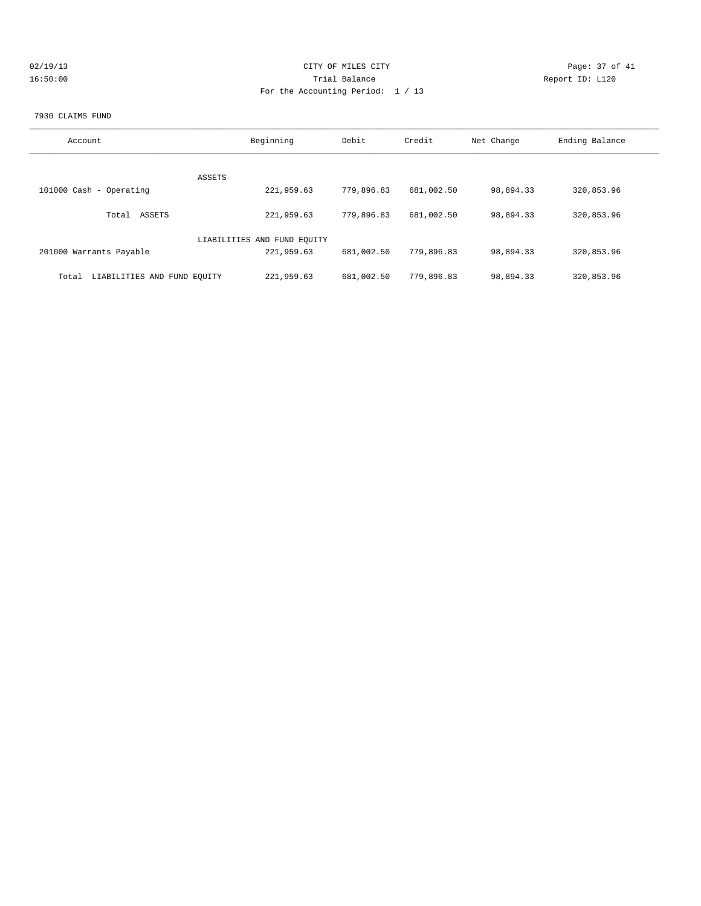|  | 2/19/13 |  |  |  |
|--|---------|--|--|--|
|  | 6:50:00 |  |  |  |

# 02/19/13 Page: 37 of 41 16:50:00 Trial Balance Report ID: L120 For the Accounting Period: 1 / 13

#### 7930 CLAIMS FUND

| Account                              | Beginning                   | Debit      | Credit     | Net Change | Ending Balance |
|--------------------------------------|-----------------------------|------------|------------|------------|----------------|
|                                      |                             |            |            |            |                |
|                                      | ASSETS                      |            |            |            |                |
| 101000 Cash - Operating              | 221,959.63                  | 779,896.83 | 681,002.50 | 98,894.33  | 320,853.96     |
| ASSETS<br>Total                      | 221,959.63                  | 779,896.83 | 681,002.50 | 98,894.33  | 320,853.96     |
|                                      | LIABILITIES AND FUND EQUITY |            |            |            |                |
| 201000 Warrants Payable              | 221,959.63                  | 681,002.50 | 779,896.83 | 98,894.33  | 320,853.96     |
|                                      |                             |            |            |            |                |
| LIABILITIES AND FUND EOUITY<br>Total | 221,959.63                  | 681,002.50 | 779,896.83 | 98,894.33  | 320,853.96     |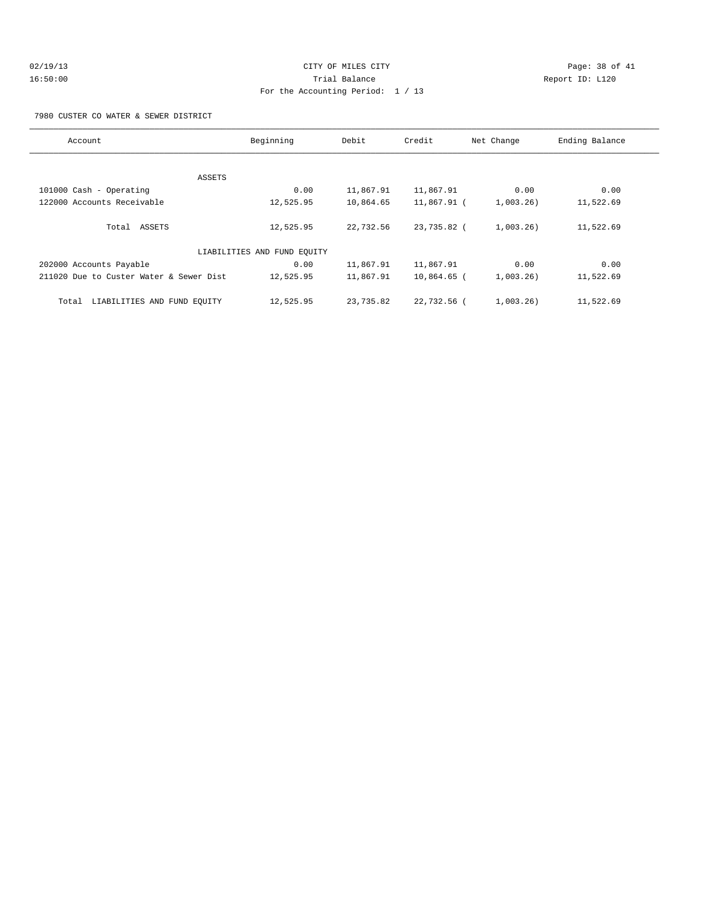# 02/19/13 Page: 38 of 41 16:50:00 Trial Balance Report ID: L120 For the Accounting Period: 1 / 13

7980 CUSTER CO WATER & SEWER DISTRICT

| Account                                 | Beginning                   | Debit     | Credit        | Net Change   | Ending Balance |
|-----------------------------------------|-----------------------------|-----------|---------------|--------------|----------------|
|                                         |                             |           |               |              |                |
|                                         | ASSETS                      |           |               |              |                |
| 101000 Cash - Operating                 | 0.00                        | 11,867.91 | 11,867.91     | 0.00         | 0.00           |
| 122000 Accounts Receivable              | 12,525.95                   | 10,864.65 | 11,867.91 (   | $1,003.26$ ) | 11,522.69      |
| Total ASSETS                            | 12,525.95                   | 22,732.56 | 23,735.82 (   | $1,003.26$ ) | 11,522.69      |
|                                         | LIABILITIES AND FUND EQUITY |           |               |              |                |
| 202000 Accounts Payable                 | 0.00                        | 11,867.91 | 11,867.91     | 0.00         | 0.00           |
| 211020 Due to Custer Water & Sewer Dist | 12,525.95                   | 11,867.91 | $10,864.65$ ( | $1,003.26$ ) | 11,522.69      |
| LIABILITIES AND FUND EQUITY<br>Total    | 12,525.95                   | 23,735.82 | 22,732.56 (   | $1,003.26$ ) | 11,522.69      |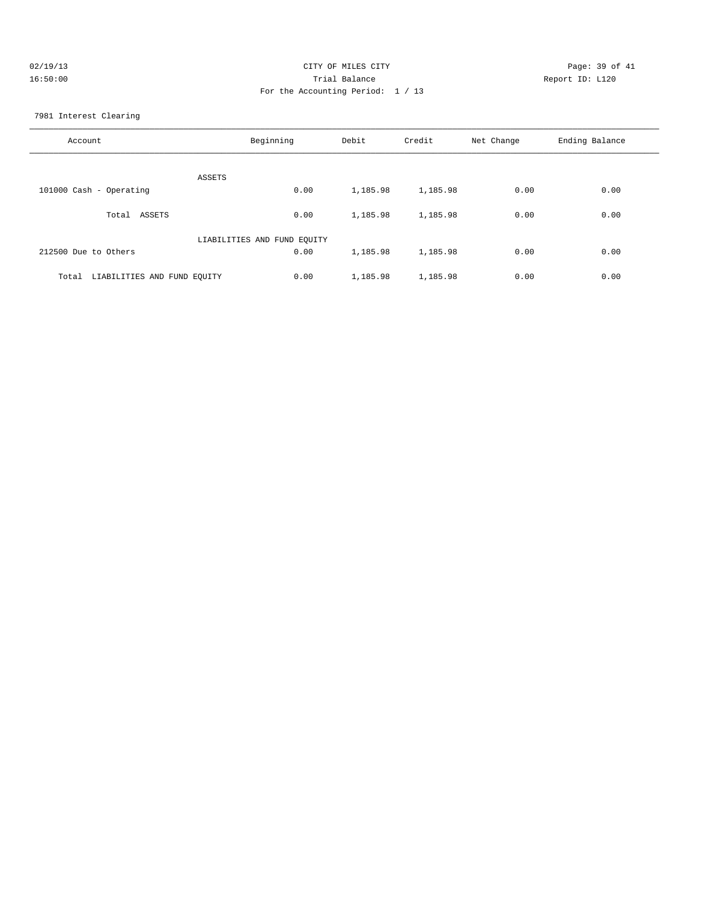| 02/19/13 | CITY OF MILES CITY                | Page: 39 of 41  |
|----------|-----------------------------------|-----------------|
| 16:50:00 | Trial Balance                     | Report ID: L120 |
|          | For the Accounting Period: 1 / 13 |                 |
|          |                                   |                 |

7981 Interest Clearing

| Account                              | Beginning | Debit    | Credit   | Net Change | Ending Balance |
|--------------------------------------|-----------|----------|----------|------------|----------------|
| ASSETS                               |           |          |          |            |                |
| 101000 Cash - Operating              | 0.00      | 1,185.98 | 1,185.98 | 0.00       | 0.00           |
| ASSETS<br>Total                      | 0.00      | 1,185.98 | 1,185.98 | 0.00       | 0.00           |
| LIABILITIES AND FUND EQUITY          |           |          |          |            |                |
| 212500 Due to Others                 | 0.00      | 1,185.98 | 1,185.98 | 0.00       | 0.00           |
| LIABILITIES AND FUND EQUITY<br>Total | 0.00      | 1,185.98 | 1,185.98 | 0.00       | 0.00           |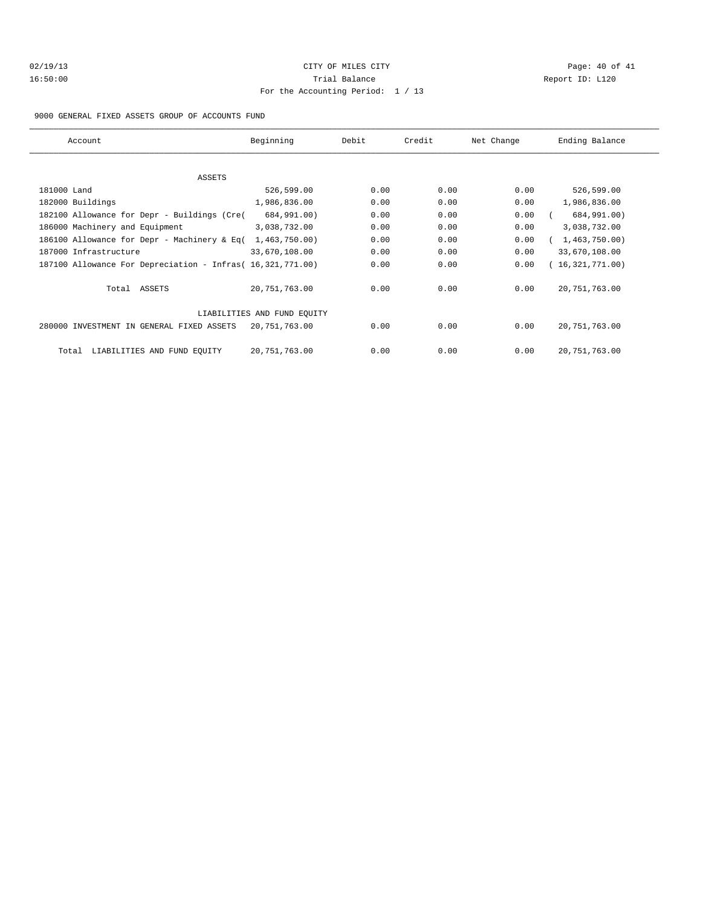# 02/19/13 Page: 40 of 41 16:50:00 Trial Balance Report ID: L120 For the Accounting Period: 1 / 13

#### 9000 GENERAL FIXED ASSETS GROUP OF ACCOUNTS FUND

| Account                                                    | Beginning                   | Debit | Credit | Net Change | Ending Balance  |
|------------------------------------------------------------|-----------------------------|-------|--------|------------|-----------------|
|                                                            |                             |       |        |            |                 |
| ASSETS                                                     |                             |       |        |            |                 |
| 181000 Land                                                | 526,599.00                  | 0.00  | 0.00   | 0.00       | 526,599.00      |
| 182000 Buildings                                           | 1,986,836.00                | 0.00  | 0.00   | 0.00       | 1,986,836.00    |
| 182100 Allowance for Depr - Buildings (Cre(                | 684,991.00)                 | 0.00  | 0.00   | 0.00       | 684,991.00)     |
| 186000 Machinery and Equipment                             | 3,038,732.00                | 0.00  | 0.00   | 0.00       | 3,038,732.00    |
| 186100 Allowance for Depr - Machinery & Eq(                | 1,463,750.00)               | 0.00  | 0.00   | 0.00       | 1,463,750.00)   |
| 187000 Infrastructure                                      | 33,670,108.00               | 0.00  | 0.00   | 0.00       | 33,670,108.00   |
| 187100 Allowance For Depreciation - Infras( 16,321,771.00) |                             | 0.00  | 0.00   | 0.00       | (16,321,771.00) |
| Total ASSETS                                               | 20, 751, 763.00             | 0.00  | 0.00   | 0.00       | 20, 751, 763.00 |
|                                                            | LIABILITIES AND FUND EQUITY |       |        |            |                 |
| 280000 INVESTMENT IN GENERAL FIXED ASSETS                  | 20,751,763.00               | 0.00  | 0.00   | 0.00       | 20, 751, 763.00 |
| LIABILITIES AND FUND EQUITY<br>Total                       | 20,751,763.00               | 0.00  | 0.00   | 0.00       | 20, 751, 763.00 |